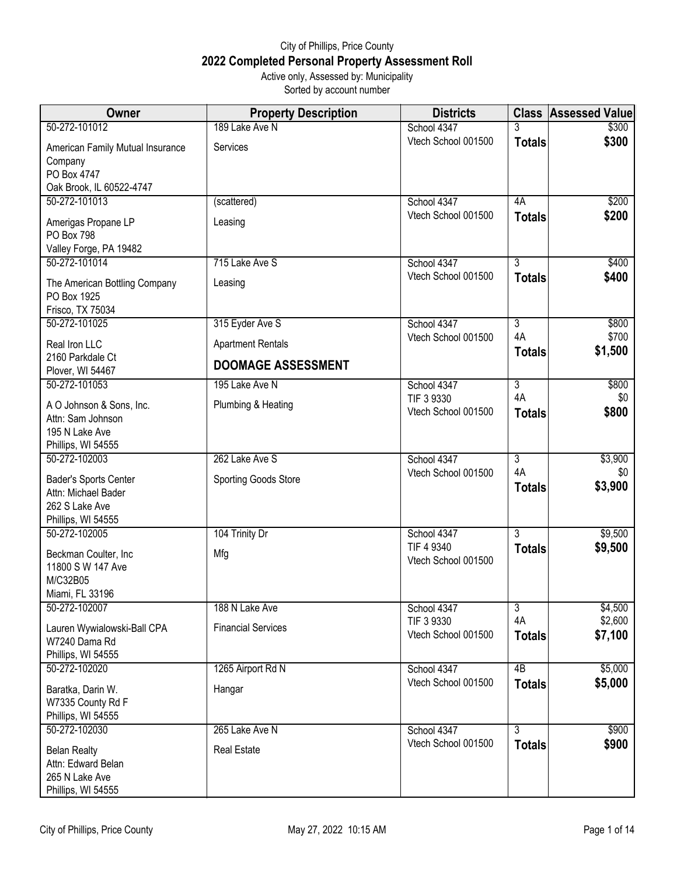## City of Phillips, Price County **2022 Completed Personal Property Assessment Roll** Active only, Assessed by: Municipality

Sorted by account number

| Owner                                | <b>Property Description</b> | <b>Districts</b>    |                     | <b>Class Assessed Value</b> |
|--------------------------------------|-----------------------------|---------------------|---------------------|-----------------------------|
| 50-272-101012                        | 189 Lake Ave N              | School 4347         | 3                   | \$300                       |
| American Family Mutual Insurance     | <b>Services</b>             | Vtech School 001500 | <b>Totals</b>       | \$300                       |
| Company                              |                             |                     |                     |                             |
| PO Box 4747                          |                             |                     |                     |                             |
| Oak Brook, IL 60522-4747             |                             |                     |                     |                             |
| 50-272-101013                        | (scattered)                 | School 4347         | 4A                  | \$200                       |
| Amerigas Propane LP                  | Leasing                     | Vtech School 001500 | <b>Totals</b>       | \$200                       |
| PO Box 798                           |                             |                     |                     |                             |
| Valley Forge, PA 19482               |                             |                     |                     |                             |
| 50-272-101014                        | 715 Lake Ave S              | School 4347         | $\overline{3}$      | \$400                       |
| The American Bottling Company        | Leasing                     | Vtech School 001500 | <b>Totals</b>       | \$400                       |
| PO Box 1925                          |                             |                     |                     |                             |
| Frisco, TX 75034                     |                             |                     |                     |                             |
| 50-272-101025                        | 315 Eyder Ave S             | School 4347         | $\overline{3}$      | \$800                       |
| Real Iron LLC                        | <b>Apartment Rentals</b>    | Vtech School 001500 | 4A<br><b>Totals</b> | \$700<br>\$1,500            |
| 2160 Parkdale Ct<br>Plover, WI 54467 | <b>DOOMAGE ASSESSMENT</b>   |                     |                     |                             |
| 50-272-101053                        | 195 Lake Ave N              | School 4347         | $\overline{3}$      | \$800                       |
| A O Johnson & Sons, Inc.             | Plumbing & Heating          | TIF 3 9330          | 4A                  | \$0                         |
| Attn: Sam Johnson                    |                             | Vtech School 001500 | <b>Totals</b>       | \$800                       |
| 195 N Lake Ave                       |                             |                     |                     |                             |
| Phillips, WI 54555                   |                             |                     |                     |                             |
| 50-272-102003                        | 262 Lake Ave S              | School 4347         | 3                   | \$3,900                     |
| Bader's Sports Center                | <b>Sporting Goods Store</b> | Vtech School 001500 | 4A                  | \$0                         |
| Attn: Michael Bader                  |                             |                     | <b>Totals</b>       | \$3,900                     |
| 262 S Lake Ave                       |                             |                     |                     |                             |
| Phillips, WI 54555                   |                             |                     |                     |                             |
| 50-272-102005                        | 104 Trinity Dr              | School 4347         | $\overline{3}$      | \$9,500                     |
| Beckman Coulter, Inc                 | Mfg                         | TIF 4 9340          | <b>Totals</b>       | \$9,500                     |
| 11800 S W 147 Ave                    |                             | Vtech School 001500 |                     |                             |
| M/C32B05                             |                             |                     |                     |                             |
| Miami, FL 33196                      |                             |                     |                     |                             |
| 50-272-102007                        | 188 N Lake Ave              | School 4347         | $\overline{3}$      | \$4,500                     |
| Lauren Wywialowski-Ball CPA          | <b>Financial Services</b>   | TIF 3 9330          | 4A                  | \$2,600                     |
| W7240 Dama Rd                        |                             | Vtech School 001500 | <b>Totals</b>       | \$7,100                     |
| Phillips, WI 54555                   |                             |                     |                     |                             |
| 50-272-102020                        | 1265 Airport Rd N           | School 4347         | 4B                  | \$5,000                     |
| Baratka, Darin W.                    | Hangar                      | Vtech School 001500 | <b>Totals</b>       | \$5,000                     |
| W7335 County Rd F                    |                             |                     |                     |                             |
| Phillips, WI 54555                   |                             |                     |                     |                             |
| 50-272-102030                        | 265 Lake Ave N              | School 4347         | $\overline{3}$      | \$900                       |
| <b>Belan Realty</b>                  | <b>Real Estate</b>          | Vtech School 001500 | <b>Totals</b>       | \$900                       |
| Attn: Edward Belan                   |                             |                     |                     |                             |
| 265 N Lake Ave                       |                             |                     |                     |                             |
| Phillips, WI 54555                   |                             |                     |                     |                             |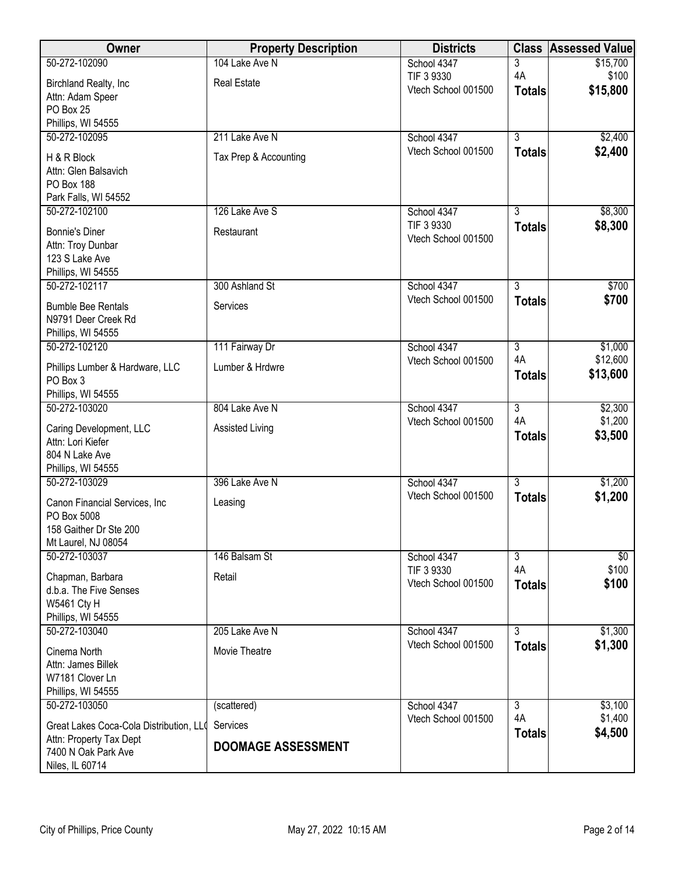| Owner                                      | <b>Property Description</b> | <b>Districts</b>                   | <b>Class</b>         | <b>Assessed Value</b> |
|--------------------------------------------|-----------------------------|------------------------------------|----------------------|-----------------------|
| 50-272-102090                              | 104 Lake Ave N              | School 4347                        | 3                    | \$15,700              |
| Birchland Realty, Inc                      | <b>Real Estate</b>          | TIF 3 9330                         | 4A                   | \$100                 |
| Attn: Adam Speer                           |                             | Vtech School 001500                | <b>Totals</b>        | \$15,800              |
| PO Box 25                                  |                             |                                    |                      |                       |
| Phillips, WI 54555                         |                             |                                    |                      |                       |
| 50-272-102095                              | 211 Lake Ave N              | School 4347<br>Vtech School 001500 | $\overline{3}$       | \$2,400               |
| H & R Block                                | Tax Prep & Accounting       |                                    | <b>Totals</b>        | \$2,400               |
| Attn: Glen Balsavich                       |                             |                                    |                      |                       |
| PO Box 188<br>Park Falls, WI 54552         |                             |                                    |                      |                       |
| 50-272-102100                              | 126 Lake Ave S              | School 4347                        | $\overline{3}$       | \$8,300               |
|                                            |                             | TIF 3 9330                         | <b>Totals</b>        | \$8,300               |
| <b>Bonnie's Diner</b><br>Attn: Troy Dunbar | Restaurant                  | Vtech School 001500                |                      |                       |
| 123 S Lake Ave                             |                             |                                    |                      |                       |
| Phillips, WI 54555                         |                             |                                    |                      |                       |
| 50-272-102117                              | 300 Ashland St              | School 4347                        | $\overline{3}$       | \$700                 |
| <b>Bumble Bee Rentals</b>                  | Services                    | Vtech School 001500                | <b>Totals</b>        | \$700                 |
| N9791 Deer Creek Rd                        |                             |                                    |                      |                       |
| Phillips, WI 54555                         |                             |                                    |                      |                       |
| 50-272-102120                              | 111 Fairway Dr              | School 4347<br>Vtech School 001500 | $\overline{3}$<br>4A | \$1,000<br>\$12,600   |
| Phillips Lumber & Hardware, LLC            | Lumber & Hrdwre             |                                    | <b>Totals</b>        | \$13,600              |
| PO Box 3                                   |                             |                                    |                      |                       |
| Phillips, WI 54555<br>50-272-103020        | 804 Lake Ave N              | School 4347                        | $\overline{3}$       | \$2,300               |
|                                            |                             | Vtech School 001500                | 4A                   | \$1,200               |
| Caring Development, LLC                    | Assisted Living             |                                    | <b>Totals</b>        | \$3,500               |
| Attn: Lori Kiefer<br>804 N Lake Ave        |                             |                                    |                      |                       |
| Phillips, WI 54555                         |                             |                                    |                      |                       |
| 50-272-103029                              | 396 Lake Ave N              | School 4347                        | $\overline{3}$       | \$1,200               |
| Canon Financial Services, Inc.             | Leasing                     | Vtech School 001500                | <b>Totals</b>        | \$1,200               |
| PO Box 5008                                |                             |                                    |                      |                       |
| 158 Gaither Dr Ste 200                     |                             |                                    |                      |                       |
| Mt Laurel, NJ 08054                        |                             |                                    |                      |                       |
| 50-272-103037                              | 146 Balsam St               | School 4347                        | $\overline{3}$       | \$0                   |
| Chapman, Barbara                           | Retail                      | TIF 3 9330<br>Vtech School 001500  | 4A                   | \$100<br>\$100        |
| d.b.a. The Five Senses                     |                             |                                    | <b>Totals</b>        |                       |
| <b>W5461 Cty H</b>                         |                             |                                    |                      |                       |
| Phillips, WI 54555<br>50-272-103040        | 205 Lake Ave N              | School 4347                        | $\overline{3}$       | \$1,300               |
|                                            |                             | Vtech School 001500                | <b>Totals</b>        | \$1,300               |
| Cinema North                               | Movie Theatre               |                                    |                      |                       |
| Attn: James Billek<br>W7181 Clover Ln      |                             |                                    |                      |                       |
| Phillips, WI 54555                         |                             |                                    |                      |                       |
| 50-272-103050                              | (scattered)                 | School 4347                        | $\overline{3}$       | \$3,100               |
| Great Lakes Coca-Cola Distribution, LLO    | Services                    | Vtech School 001500                | 4A                   | \$1,400               |
| Attn: Property Tax Dept                    |                             |                                    | <b>Totals</b>        | \$4,500               |
| 7400 N Oak Park Ave                        | <b>DOOMAGE ASSESSMENT</b>   |                                    |                      |                       |
| Niles, IL 60714                            |                             |                                    |                      |                       |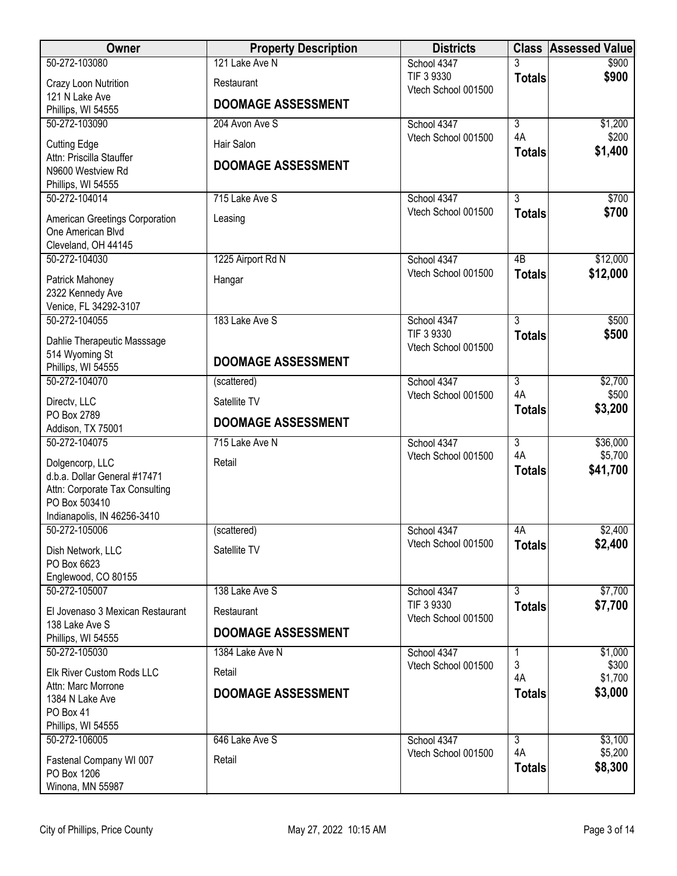| Owner                                           | <b>Property Description</b> | <b>Districts</b>                   | <b>Class</b>         | <b>Assessed Value</b> |
|-------------------------------------------------|-----------------------------|------------------------------------|----------------------|-----------------------|
| 50-272-103080                                   | 121 Lake Ave N              | School 4347                        |                      | \$900                 |
| Crazy Loon Nutrition                            | Restaurant                  | TIF 3 9330<br>Vtech School 001500  | <b>Totals</b>        | \$900                 |
| 121 N Lake Ave                                  | <b>DOOMAGE ASSESSMENT</b>   |                                    |                      |                       |
| Phillips, WI 54555<br>50-272-103090             | 204 Avon Ave S              | School 4347                        | $\overline{3}$       | \$1,200               |
|                                                 |                             | Vtech School 001500                | 4A                   | \$200                 |
| <b>Cutting Edge</b><br>Attn: Priscilla Stauffer | Hair Salon                  |                                    | <b>Totals</b>        | \$1,400               |
| N9600 Westview Rd                               | <b>DOOMAGE ASSESSMENT</b>   |                                    |                      |                       |
| Phillips, WI 54555                              |                             |                                    |                      |                       |
| 50-272-104014                                   | 715 Lake Ave S              | School 4347                        | $\overline{3}$       | \$700                 |
| American Greetings Corporation                  | Leasing                     | Vtech School 001500                | <b>Totals</b>        | \$700                 |
| One American Blvd                               |                             |                                    |                      |                       |
| Cleveland, OH 44145<br>50-272-104030            | 1225 Airport Rd N           | School 4347                        | $\overline{AB}$      | \$12,000              |
|                                                 |                             | Vtech School 001500                | <b>Totals</b>        | \$12,000              |
| Patrick Mahoney<br>2322 Kennedy Ave             | Hangar                      |                                    |                      |                       |
| Venice, FL 34292-3107                           |                             |                                    |                      |                       |
| 50-272-104055                                   | 183 Lake Ave S              | School 4347                        | $\overline{3}$       | \$500                 |
| Dahlie Therapeutic Masssage                     |                             | TIF 3 9330                         | <b>Totals</b>        | \$500                 |
| 514 Wyoming St                                  | <b>DOOMAGE ASSESSMENT</b>   | Vtech School 001500                |                      |                       |
| Phillips, WI 54555                              |                             |                                    |                      |                       |
| 50-272-104070                                   | (scattered)                 | School 4347<br>Vtech School 001500 | $\overline{3}$<br>4A | \$2,700<br>\$500      |
| Directv, LLC                                    | Satellite TV                |                                    | <b>Totals</b>        | \$3,200               |
| PO Box 2789<br>Addison, TX 75001                | <b>DOOMAGE ASSESSMENT</b>   |                                    |                      |                       |
| 50-272-104075                                   | 715 Lake Ave N              | School 4347                        | $\overline{3}$       | \$36,000              |
| Dolgencorp, LLC                                 | Retail                      | Vtech School 001500                | 4A                   | \$5,700               |
| d.b.a. Dollar General #17471                    |                             |                                    | <b>Totals</b>        | \$41,700              |
| Attn: Corporate Tax Consulting                  |                             |                                    |                      |                       |
| PO Box 503410                                   |                             |                                    |                      |                       |
| Indianapolis, IN 46256-3410<br>50-272-105006    | (scattered)                 | School 4347                        | 4A                   | \$2,400               |
|                                                 |                             | Vtech School 001500                | <b>Totals</b>        | \$2,400               |
| Dish Network, LLC<br>PO Box 6623                | Satellite TV                |                                    |                      |                       |
| Englewood, CO 80155                             |                             |                                    |                      |                       |
| 50-272-105007                                   | 138 Lake Ave S              | School 4347                        | $\overline{3}$       | \$7,700               |
| El Jovenaso 3 Mexican Restaurant                | Restaurant                  | TIF 3 9330                         | <b>Totals</b>        | \$7,700               |
| 138 Lake Ave S                                  | <b>DOOMAGE ASSESSMENT</b>   | Vtech School 001500                |                      |                       |
| Phillips, WI 54555<br>50-272-105030             |                             |                                    |                      |                       |
|                                                 | 1384 Lake Ave N             | School 4347<br>Vtech School 001500 | 1<br>3               | \$1,000<br>\$300      |
| Elk River Custom Rods LLC                       | Retail                      |                                    | 4A                   | \$1,700               |
| Attn: Marc Morrone<br>1384 N Lake Ave           | <b>DOOMAGE ASSESSMENT</b>   |                                    | <b>Totals</b>        | \$3,000               |
| PO Box 41                                       |                             |                                    |                      |                       |
| Phillips, WI 54555                              |                             |                                    |                      |                       |
| 50-272-106005                                   | 646 Lake Ave S              | School 4347                        | $\overline{3}$<br>4A | \$3,100<br>\$5,200    |
| Fastenal Company WI 007                         | Retail                      | Vtech School 001500                | <b>Totals</b>        | \$8,300               |
| PO Box 1206                                     |                             |                                    |                      |                       |
| Winona, MN 55987                                |                             |                                    |                      |                       |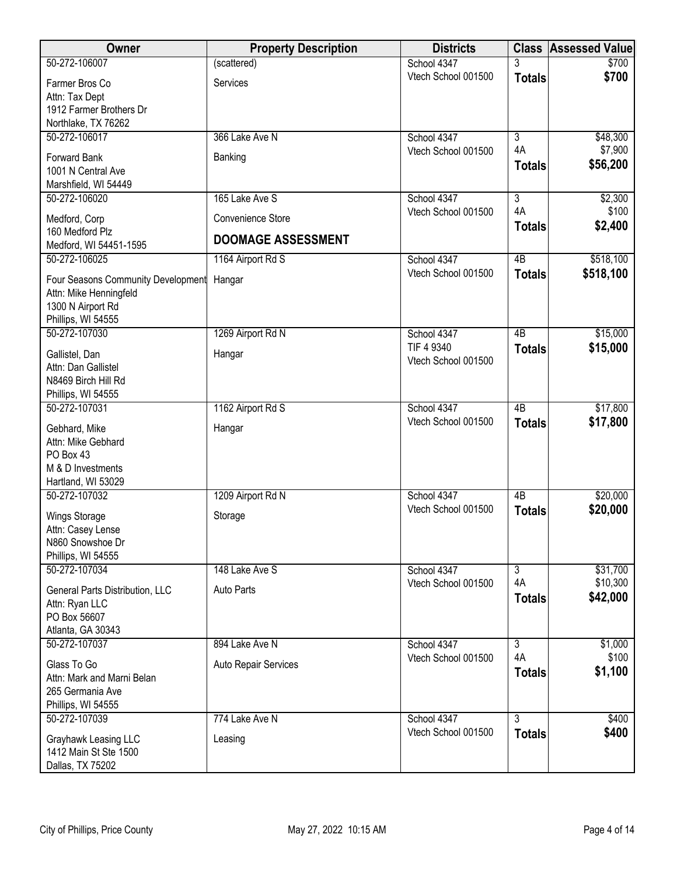| Owner                                   | <b>Property Description</b> | <b>Districts</b>                   | <b>Class</b>         | <b>Assessed Value</b> |
|-----------------------------------------|-----------------------------|------------------------------------|----------------------|-----------------------|
| 50-272-106007                           | (scattered)                 | School 4347                        | 3                    | \$700                 |
| Farmer Bros Co                          | Services                    | Vtech School 001500                | <b>Totals</b>        | \$700                 |
| Attn: Tax Dept                          |                             |                                    |                      |                       |
| 1912 Farmer Brothers Dr                 |                             |                                    |                      |                       |
| Northlake, TX 76262                     |                             |                                    |                      |                       |
| 50-272-106017                           | 366 Lake Ave N              | School 4347                        | $\overline{3}$       | \$48,300              |
| Forward Bank                            | Banking                     | Vtech School 001500                | 4A                   | \$7,900               |
| 1001 N Central Ave                      |                             |                                    | <b>Totals</b>        | \$56,200              |
| Marshfield, WI 54449                    |                             |                                    |                      |                       |
| 50-272-106020                           | 165 Lake Ave S              | School 4347                        | $\overline{3}$       | \$2,300               |
|                                         | Convenience Store           | Vtech School 001500                | 4A                   | \$100                 |
| Medford, Corp<br>160 Medford Plz        |                             |                                    | <b>Totals</b>        | \$2,400               |
| Medford, WI 54451-1595                  | <b>DOOMAGE ASSESSMENT</b>   |                                    |                      |                       |
| 50-272-106025                           | 1164 Airport Rd S           | School 4347                        | $\overline{AB}$      | \$518,100             |
|                                         |                             | Vtech School 001500                | <b>Totals</b>        | \$518,100             |
| Four Seasons Community Development      | Hangar                      |                                    |                      |                       |
| Attn: Mike Henningfeld                  |                             |                                    |                      |                       |
| 1300 N Airport Rd<br>Phillips, WI 54555 |                             |                                    |                      |                       |
| 50-272-107030                           | 1269 Airport Rd N           | School 4347                        | $\overline{AB}$      | \$15,000              |
|                                         |                             | TIF 4 9340                         | <b>Totals</b>        | \$15,000              |
| Gallistel, Dan                          | Hangar                      | Vtech School 001500                |                      |                       |
| Attn: Dan Gallistel                     |                             |                                    |                      |                       |
| N8469 Birch Hill Rd                     |                             |                                    |                      |                       |
| Phillips, WI 54555<br>50-272-107031     | 1162 Airport Rd S           | School 4347                        | $\overline{AB}$      | \$17,800              |
|                                         |                             | Vtech School 001500                |                      | \$17,800              |
| Gebhard, Mike                           | Hangar                      |                                    | <b>Totals</b>        |                       |
| Attn: Mike Gebhard                      |                             |                                    |                      |                       |
| PO Box 43                               |                             |                                    |                      |                       |
| M & D Investments                       |                             |                                    |                      |                       |
| Hartland, WI 53029<br>50-272-107032     | 1209 Airport Rd N           | School 4347                        | 4B                   | \$20,000              |
|                                         |                             | Vtech School 001500                |                      | \$20,000              |
| Wings Storage                           | Storage                     |                                    | <b>Totals</b>        |                       |
| Attn: Casey Lense                       |                             |                                    |                      |                       |
| N860 Snowshoe Dr                        |                             |                                    |                      |                       |
| Phillips, WI 54555<br>50-272-107034     | 148 Lake Ave S              | School 4347                        | $\overline{3}$       | \$31,700              |
|                                         |                             | Vtech School 001500                | 4A                   | \$10,300              |
| General Parts Distribution, LLC         | Auto Parts                  |                                    | <b>Totals</b>        | \$42,000              |
| Attn: Ryan LLC                          |                             |                                    |                      |                       |
| PO Box 56607                            |                             |                                    |                      |                       |
| Atlanta, GA 30343                       |                             |                                    |                      |                       |
| 50-272-107037                           | 894 Lake Ave N              | School 4347<br>Vtech School 001500 | $\overline{3}$<br>4A | \$1,000<br>\$100      |
| Glass To Go                             | Auto Repair Services        |                                    | <b>Totals</b>        | \$1,100               |
| Attn: Mark and Marni Belan              |                             |                                    |                      |                       |
| 265 Germania Ave                        |                             |                                    |                      |                       |
| Phillips, WI 54555                      |                             |                                    |                      |                       |
| 50-272-107039                           | 774 Lake Ave N              | School 4347                        | $\overline{3}$       | \$400                 |
| Grayhawk Leasing LLC                    | Leasing                     | Vtech School 001500                | <b>Totals</b>        | \$400                 |
| 1412 Main St Ste 1500                   |                             |                                    |                      |                       |
| Dallas, TX 75202                        |                             |                                    |                      |                       |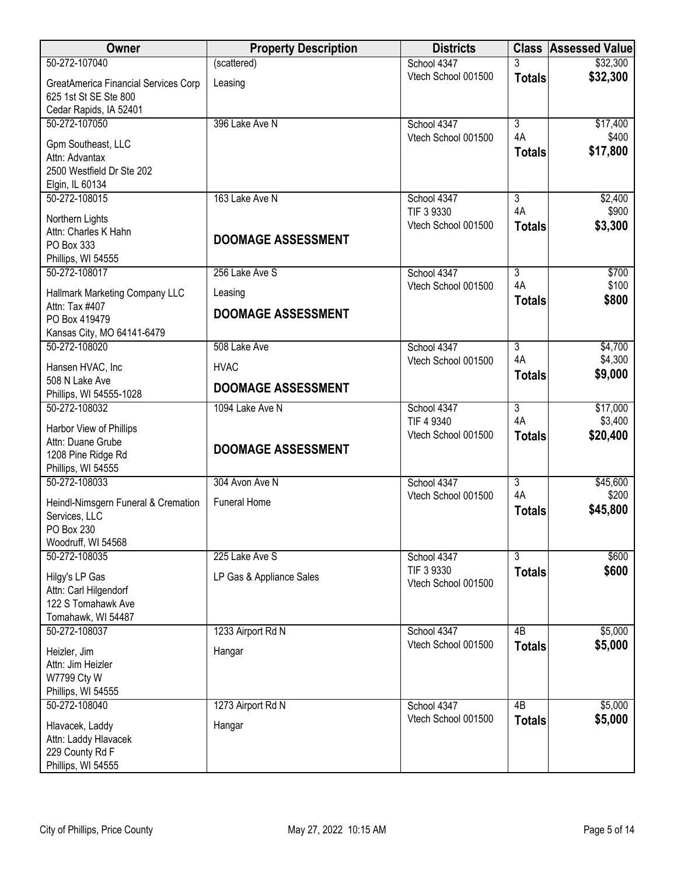| Owner                                                                                   | <b>Property Description</b> | <b>Districts</b>                  |                      | <b>Class Assessed Value</b> |
|-----------------------------------------------------------------------------------------|-----------------------------|-----------------------------------|----------------------|-----------------------------|
| 50-272-107040                                                                           | (scattered)                 | School 4347                       | 3                    | \$32,300                    |
| GreatAmerica Financial Services Corp<br>625 1st St SE Ste 800<br>Cedar Rapids, IA 52401 | Leasing                     | Vtech School 001500               | <b>Totals</b>        | \$32,300                    |
| 50-272-107050                                                                           | 396 Lake Ave N              | School 4347                       | $\overline{3}$       | \$17,400                    |
| Gpm Southeast, LLC<br>Attn: Advantax<br>2500 Westfield Dr Ste 202<br>Elgin, IL 60134    |                             | Vtech School 001500               | 4A<br><b>Totals</b>  | \$400<br>\$17,800           |
| 50-272-108015                                                                           | 163 Lake Ave N              | School 4347                       | $\overline{3}$       | \$2,400                     |
| Northern Lights<br>Attn: Charles K Hahn<br>PO Box 333<br>Phillips, WI 54555             | <b>DOOMAGE ASSESSMENT</b>   | TIF 3 9330<br>Vtech School 001500 | 4A<br><b>Totals</b>  | \$900<br>\$3,300            |
| 50-272-108017                                                                           | 256 Lake Ave S              | School 4347                       | $\overline{3}$       | \$700                       |
| Hallmark Marketing Company LLC<br>Attn: Tax #407                                        | Leasing                     | Vtech School 001500               | 4A<br><b>Totals</b>  | \$100<br>\$800              |
| PO Box 419479<br>Kansas City, MO 64141-6479                                             | <b>DOOMAGE ASSESSMENT</b>   |                                   |                      |                             |
| 50-272-108020                                                                           | 508 Lake Ave                | School 4347                       | $\overline{3}$       | \$4,700                     |
| Hansen HVAC, Inc<br>508 N Lake Ave                                                      | <b>HVAC</b>                 | Vtech School 001500               | 4A<br><b>Totals</b>  | \$4,300<br>\$9,000          |
| Phillips, WI 54555-1028                                                                 | <b>DOOMAGE ASSESSMENT</b>   |                                   |                      |                             |
| 50-272-108032<br>Harbor View of Phillips                                                | 1094 Lake Ave N             | School 4347<br>TIF 4 9340         | $\overline{3}$<br>4A | \$17,000<br>\$3,400         |
| Attn: Duane Grube<br>1208 Pine Ridge Rd<br>Phillips, WI 54555                           | <b>DOOMAGE ASSESSMENT</b>   | Vtech School 001500               | <b>Totals</b>        | \$20,400                    |
| 50-272-108033                                                                           | 304 Avon Ave N              | School 4347                       | $\overline{3}$       | \$45,600                    |
| Heindl-Nimsgern Funeral & Cremation<br>Services, LLC<br>PO Box 230                      | <b>Funeral Home</b>         | Vtech School 001500               | 4A<br><b>Totals</b>  | \$200<br>\$45,800           |
| Woodruff, WI 54568<br>50-272-108035                                                     |                             |                                   | $\overline{3}$       |                             |
|                                                                                         | 225 Lake Ave S              | School 4347<br>TIF 3 9330         | <b>Totals</b>        | \$600<br>\$600              |
| Hilgy's LP Gas<br>Attn: Carl Hilgendorf<br>122 S Tomahawk Ave                           | LP Gas & Appliance Sales    | Vtech School 001500               |                      |                             |
| Tomahawk, WI 54487<br>50-272-108037                                                     | 1233 Airport Rd N           | School 4347                       | 4B                   | \$5,000                     |
| Heizler, Jim<br>Attn: Jim Heizler<br>W7799 Cty W<br>Phillips, WI 54555                  | Hangar                      | Vtech School 001500               | <b>Totals</b>        | \$5,000                     |
| 50-272-108040                                                                           | 1273 Airport Rd N           | School 4347                       | 4B                   | \$5,000                     |
| Hlavacek, Laddy<br>Attn: Laddy Hlavacek<br>229 County Rd F<br>Phillips, WI 54555        | Hangar                      | Vtech School 001500               | <b>Totals</b>        | \$5,000                     |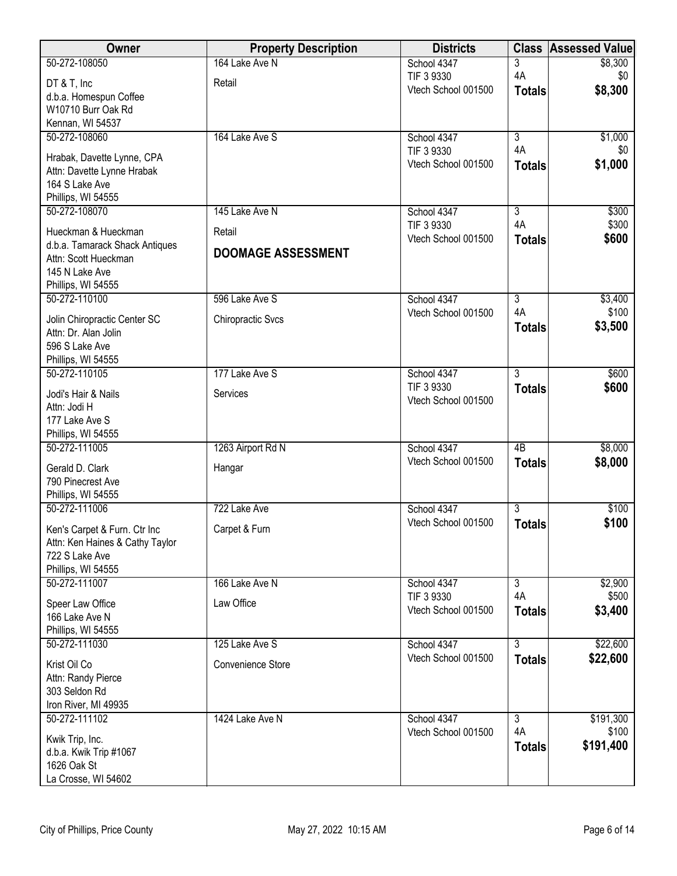| School 4347<br>3<br>\$8,300<br>4A<br>TIF 3 9330<br>\$0<br>Retail<br>DT & T, Inc<br>\$8,300<br>Vtech School 001500<br><b>Totals</b><br>d.b.a. Homespun Coffee<br>W10710 Burr Oak Rd<br>Kennan, WI 54537<br>$\overline{3}$<br>50-272-108060<br>164 Lake Ave S<br>\$1,000<br>School 4347<br>4A<br>\$0<br>TIF 3 9330<br>Hrabak, Davette Lynne, CPA<br>Vtech School 001500<br>\$1,000<br><b>Totals</b><br>Attn: Davette Lynne Hrabak<br>164 S Lake Ave<br>Phillips, WI 54555<br>50-272-108070<br>$\overline{3}$<br>\$300<br>145 Lake Ave N<br>School 4347<br>4A<br>\$300<br>TIF 3 9330<br>Hueckman & Hueckman<br>Retail<br>Vtech School 001500<br>\$600<br><b>Totals</b><br>d.b.a. Tamarack Shack Antiques<br><b>DOOMAGE ASSESSMENT</b><br>Attn: Scott Hueckman<br>145 N Lake Ave<br>Phillips, WI 54555<br>596 Lake Ave S<br>School 4347<br>$\overline{3}$<br>50-272-110100<br>\$3,400<br>\$100<br>4A<br>Vtech School 001500<br><b>Chiropractic Svcs</b><br>Jolin Chiropractic Center SC<br>\$3,500<br><b>Totals</b><br>Attn: Dr. Alan Jolin<br>596 S Lake Ave<br>Phillips, WI 54555<br>$\overline{3}$<br>177 Lake Ave S<br>50-272-110105<br>\$600<br>School 4347<br>\$600<br>TIF 3 9330<br><b>Totals</b><br>Services<br>Jodi's Hair & Nails<br>Vtech School 001500<br>Attn: Jodi H<br>177 Lake Ave S<br>Phillips, WI 54555<br>1263 Airport Rd N<br>$\overline{AB}$<br>\$8,000<br>50-272-111005<br>School 4347<br>Vtech School 001500<br>\$8,000<br><b>Totals</b><br>Gerald D. Clark<br>Hangar<br>790 Pinecrest Ave<br>Phillips, WI 54555<br>$\overline{3}$<br>50-272-111006<br>722 Lake Ave<br>School 4347<br>\$100<br>Vtech School 001500<br>\$100<br><b>Totals</b><br>Carpet & Furn<br>Ken's Carpet & Furn. Ctr Inc<br>Attn: Ken Haines & Cathy Taylor<br>722 S Lake Ave<br>Phillips, WI 54555<br>50-272-111007<br>$\overline{3}$<br>166 Lake Ave N<br>School 4347<br>\$2,900<br>4A<br>\$500<br>TIF 3 9330<br>Law Office<br>Speer Law Office<br>Vtech School 001500<br>\$3,400<br><b>Totals</b><br>166 Lake Ave N<br>Phillips, WI 54555<br>125 Lake Ave S<br>$\overline{3}$<br>\$22,600<br>50-272-111030<br>School 4347<br>Vtech School 001500<br>\$22,600<br><b>Totals</b><br>Convenience Store<br>Krist Oil Co<br>Attn: Randy Pierce<br>303 Seldon Rd<br>Iron River, MI 49935<br>50-272-111102<br>1424 Lake Ave N<br>$\overline{3}$<br>\$191,300<br>School 4347<br>4A<br>\$100<br>Vtech School 001500<br>Kwik Trip, Inc.<br>\$191,400<br><b>Totals</b><br>d.b.a. Kwik Trip #1067 | Owner         | <b>Property Description</b> | <b>Districts</b> | <b>Class</b> | <b>Assessed Value</b> |
|----------------------------------------------------------------------------------------------------------------------------------------------------------------------------------------------------------------------------------------------------------------------------------------------------------------------------------------------------------------------------------------------------------------------------------------------------------------------------------------------------------------------------------------------------------------------------------------------------------------------------------------------------------------------------------------------------------------------------------------------------------------------------------------------------------------------------------------------------------------------------------------------------------------------------------------------------------------------------------------------------------------------------------------------------------------------------------------------------------------------------------------------------------------------------------------------------------------------------------------------------------------------------------------------------------------------------------------------------------------------------------------------------------------------------------------------------------------------------------------------------------------------------------------------------------------------------------------------------------------------------------------------------------------------------------------------------------------------------------------------------------------------------------------------------------------------------------------------------------------------------------------------------------------------------------------------------------------------------------------------------------------------------------------------------------------------------------------------------------------------------------------------------------------------------------------------------------------------------------------------------------------------------------------------------------------------------------------------------------------------------------------------------------------------------------------------------------------------------------|---------------|-----------------------------|------------------|--------------|-----------------------|
|                                                                                                                                                                                                                                                                                                                                                                                                                                                                                                                                                                                                                                                                                                                                                                                                                                                                                                                                                                                                                                                                                                                                                                                                                                                                                                                                                                                                                                                                                                                                                                                                                                                                                                                                                                                                                                                                                                                                                                                                                                                                                                                                                                                                                                                                                                                                                                                                                                                                                  | 50-272-108050 | 164 Lake Ave N              |                  |              |                       |
|                                                                                                                                                                                                                                                                                                                                                                                                                                                                                                                                                                                                                                                                                                                                                                                                                                                                                                                                                                                                                                                                                                                                                                                                                                                                                                                                                                                                                                                                                                                                                                                                                                                                                                                                                                                                                                                                                                                                                                                                                                                                                                                                                                                                                                                                                                                                                                                                                                                                                  |               |                             |                  |              |                       |
|                                                                                                                                                                                                                                                                                                                                                                                                                                                                                                                                                                                                                                                                                                                                                                                                                                                                                                                                                                                                                                                                                                                                                                                                                                                                                                                                                                                                                                                                                                                                                                                                                                                                                                                                                                                                                                                                                                                                                                                                                                                                                                                                                                                                                                                                                                                                                                                                                                                                                  |               |                             |                  |              |                       |
|                                                                                                                                                                                                                                                                                                                                                                                                                                                                                                                                                                                                                                                                                                                                                                                                                                                                                                                                                                                                                                                                                                                                                                                                                                                                                                                                                                                                                                                                                                                                                                                                                                                                                                                                                                                                                                                                                                                                                                                                                                                                                                                                                                                                                                                                                                                                                                                                                                                                                  |               |                             |                  |              |                       |
|                                                                                                                                                                                                                                                                                                                                                                                                                                                                                                                                                                                                                                                                                                                                                                                                                                                                                                                                                                                                                                                                                                                                                                                                                                                                                                                                                                                                                                                                                                                                                                                                                                                                                                                                                                                                                                                                                                                                                                                                                                                                                                                                                                                                                                                                                                                                                                                                                                                                                  |               |                             |                  |              |                       |
|                                                                                                                                                                                                                                                                                                                                                                                                                                                                                                                                                                                                                                                                                                                                                                                                                                                                                                                                                                                                                                                                                                                                                                                                                                                                                                                                                                                                                                                                                                                                                                                                                                                                                                                                                                                                                                                                                                                                                                                                                                                                                                                                                                                                                                                                                                                                                                                                                                                                                  |               |                             |                  |              |                       |
|                                                                                                                                                                                                                                                                                                                                                                                                                                                                                                                                                                                                                                                                                                                                                                                                                                                                                                                                                                                                                                                                                                                                                                                                                                                                                                                                                                                                                                                                                                                                                                                                                                                                                                                                                                                                                                                                                                                                                                                                                                                                                                                                                                                                                                                                                                                                                                                                                                                                                  |               |                             |                  |              |                       |
|                                                                                                                                                                                                                                                                                                                                                                                                                                                                                                                                                                                                                                                                                                                                                                                                                                                                                                                                                                                                                                                                                                                                                                                                                                                                                                                                                                                                                                                                                                                                                                                                                                                                                                                                                                                                                                                                                                                                                                                                                                                                                                                                                                                                                                                                                                                                                                                                                                                                                  |               |                             |                  |              |                       |
|                                                                                                                                                                                                                                                                                                                                                                                                                                                                                                                                                                                                                                                                                                                                                                                                                                                                                                                                                                                                                                                                                                                                                                                                                                                                                                                                                                                                                                                                                                                                                                                                                                                                                                                                                                                                                                                                                                                                                                                                                                                                                                                                                                                                                                                                                                                                                                                                                                                                                  |               |                             |                  |              |                       |
|                                                                                                                                                                                                                                                                                                                                                                                                                                                                                                                                                                                                                                                                                                                                                                                                                                                                                                                                                                                                                                                                                                                                                                                                                                                                                                                                                                                                                                                                                                                                                                                                                                                                                                                                                                                                                                                                                                                                                                                                                                                                                                                                                                                                                                                                                                                                                                                                                                                                                  |               |                             |                  |              |                       |
|                                                                                                                                                                                                                                                                                                                                                                                                                                                                                                                                                                                                                                                                                                                                                                                                                                                                                                                                                                                                                                                                                                                                                                                                                                                                                                                                                                                                                                                                                                                                                                                                                                                                                                                                                                                                                                                                                                                                                                                                                                                                                                                                                                                                                                                                                                                                                                                                                                                                                  |               |                             |                  |              |                       |
|                                                                                                                                                                                                                                                                                                                                                                                                                                                                                                                                                                                                                                                                                                                                                                                                                                                                                                                                                                                                                                                                                                                                                                                                                                                                                                                                                                                                                                                                                                                                                                                                                                                                                                                                                                                                                                                                                                                                                                                                                                                                                                                                                                                                                                                                                                                                                                                                                                                                                  |               |                             |                  |              |                       |
|                                                                                                                                                                                                                                                                                                                                                                                                                                                                                                                                                                                                                                                                                                                                                                                                                                                                                                                                                                                                                                                                                                                                                                                                                                                                                                                                                                                                                                                                                                                                                                                                                                                                                                                                                                                                                                                                                                                                                                                                                                                                                                                                                                                                                                                                                                                                                                                                                                                                                  |               |                             |                  |              |                       |
|                                                                                                                                                                                                                                                                                                                                                                                                                                                                                                                                                                                                                                                                                                                                                                                                                                                                                                                                                                                                                                                                                                                                                                                                                                                                                                                                                                                                                                                                                                                                                                                                                                                                                                                                                                                                                                                                                                                                                                                                                                                                                                                                                                                                                                                                                                                                                                                                                                                                                  |               |                             |                  |              |                       |
|                                                                                                                                                                                                                                                                                                                                                                                                                                                                                                                                                                                                                                                                                                                                                                                                                                                                                                                                                                                                                                                                                                                                                                                                                                                                                                                                                                                                                                                                                                                                                                                                                                                                                                                                                                                                                                                                                                                                                                                                                                                                                                                                                                                                                                                                                                                                                                                                                                                                                  |               |                             |                  |              |                       |
|                                                                                                                                                                                                                                                                                                                                                                                                                                                                                                                                                                                                                                                                                                                                                                                                                                                                                                                                                                                                                                                                                                                                                                                                                                                                                                                                                                                                                                                                                                                                                                                                                                                                                                                                                                                                                                                                                                                                                                                                                                                                                                                                                                                                                                                                                                                                                                                                                                                                                  |               |                             |                  |              |                       |
|                                                                                                                                                                                                                                                                                                                                                                                                                                                                                                                                                                                                                                                                                                                                                                                                                                                                                                                                                                                                                                                                                                                                                                                                                                                                                                                                                                                                                                                                                                                                                                                                                                                                                                                                                                                                                                                                                                                                                                                                                                                                                                                                                                                                                                                                                                                                                                                                                                                                                  |               |                             |                  |              |                       |
|                                                                                                                                                                                                                                                                                                                                                                                                                                                                                                                                                                                                                                                                                                                                                                                                                                                                                                                                                                                                                                                                                                                                                                                                                                                                                                                                                                                                                                                                                                                                                                                                                                                                                                                                                                                                                                                                                                                                                                                                                                                                                                                                                                                                                                                                                                                                                                                                                                                                                  |               |                             |                  |              |                       |
|                                                                                                                                                                                                                                                                                                                                                                                                                                                                                                                                                                                                                                                                                                                                                                                                                                                                                                                                                                                                                                                                                                                                                                                                                                                                                                                                                                                                                                                                                                                                                                                                                                                                                                                                                                                                                                                                                                                                                                                                                                                                                                                                                                                                                                                                                                                                                                                                                                                                                  |               |                             |                  |              |                       |
|                                                                                                                                                                                                                                                                                                                                                                                                                                                                                                                                                                                                                                                                                                                                                                                                                                                                                                                                                                                                                                                                                                                                                                                                                                                                                                                                                                                                                                                                                                                                                                                                                                                                                                                                                                                                                                                                                                                                                                                                                                                                                                                                                                                                                                                                                                                                                                                                                                                                                  |               |                             |                  |              |                       |
|                                                                                                                                                                                                                                                                                                                                                                                                                                                                                                                                                                                                                                                                                                                                                                                                                                                                                                                                                                                                                                                                                                                                                                                                                                                                                                                                                                                                                                                                                                                                                                                                                                                                                                                                                                                                                                                                                                                                                                                                                                                                                                                                                                                                                                                                                                                                                                                                                                                                                  |               |                             |                  |              |                       |
|                                                                                                                                                                                                                                                                                                                                                                                                                                                                                                                                                                                                                                                                                                                                                                                                                                                                                                                                                                                                                                                                                                                                                                                                                                                                                                                                                                                                                                                                                                                                                                                                                                                                                                                                                                                                                                                                                                                                                                                                                                                                                                                                                                                                                                                                                                                                                                                                                                                                                  |               |                             |                  |              |                       |
|                                                                                                                                                                                                                                                                                                                                                                                                                                                                                                                                                                                                                                                                                                                                                                                                                                                                                                                                                                                                                                                                                                                                                                                                                                                                                                                                                                                                                                                                                                                                                                                                                                                                                                                                                                                                                                                                                                                                                                                                                                                                                                                                                                                                                                                                                                                                                                                                                                                                                  |               |                             |                  |              |                       |
|                                                                                                                                                                                                                                                                                                                                                                                                                                                                                                                                                                                                                                                                                                                                                                                                                                                                                                                                                                                                                                                                                                                                                                                                                                                                                                                                                                                                                                                                                                                                                                                                                                                                                                                                                                                                                                                                                                                                                                                                                                                                                                                                                                                                                                                                                                                                                                                                                                                                                  |               |                             |                  |              |                       |
|                                                                                                                                                                                                                                                                                                                                                                                                                                                                                                                                                                                                                                                                                                                                                                                                                                                                                                                                                                                                                                                                                                                                                                                                                                                                                                                                                                                                                                                                                                                                                                                                                                                                                                                                                                                                                                                                                                                                                                                                                                                                                                                                                                                                                                                                                                                                                                                                                                                                                  |               |                             |                  |              |                       |
|                                                                                                                                                                                                                                                                                                                                                                                                                                                                                                                                                                                                                                                                                                                                                                                                                                                                                                                                                                                                                                                                                                                                                                                                                                                                                                                                                                                                                                                                                                                                                                                                                                                                                                                                                                                                                                                                                                                                                                                                                                                                                                                                                                                                                                                                                                                                                                                                                                                                                  |               |                             |                  |              |                       |
|                                                                                                                                                                                                                                                                                                                                                                                                                                                                                                                                                                                                                                                                                                                                                                                                                                                                                                                                                                                                                                                                                                                                                                                                                                                                                                                                                                                                                                                                                                                                                                                                                                                                                                                                                                                                                                                                                                                                                                                                                                                                                                                                                                                                                                                                                                                                                                                                                                                                                  |               |                             |                  |              |                       |
|                                                                                                                                                                                                                                                                                                                                                                                                                                                                                                                                                                                                                                                                                                                                                                                                                                                                                                                                                                                                                                                                                                                                                                                                                                                                                                                                                                                                                                                                                                                                                                                                                                                                                                                                                                                                                                                                                                                                                                                                                                                                                                                                                                                                                                                                                                                                                                                                                                                                                  |               |                             |                  |              |                       |
|                                                                                                                                                                                                                                                                                                                                                                                                                                                                                                                                                                                                                                                                                                                                                                                                                                                                                                                                                                                                                                                                                                                                                                                                                                                                                                                                                                                                                                                                                                                                                                                                                                                                                                                                                                                                                                                                                                                                                                                                                                                                                                                                                                                                                                                                                                                                                                                                                                                                                  |               |                             |                  |              |                       |
|                                                                                                                                                                                                                                                                                                                                                                                                                                                                                                                                                                                                                                                                                                                                                                                                                                                                                                                                                                                                                                                                                                                                                                                                                                                                                                                                                                                                                                                                                                                                                                                                                                                                                                                                                                                                                                                                                                                                                                                                                                                                                                                                                                                                                                                                                                                                                                                                                                                                                  |               |                             |                  |              |                       |
|                                                                                                                                                                                                                                                                                                                                                                                                                                                                                                                                                                                                                                                                                                                                                                                                                                                                                                                                                                                                                                                                                                                                                                                                                                                                                                                                                                                                                                                                                                                                                                                                                                                                                                                                                                                                                                                                                                                                                                                                                                                                                                                                                                                                                                                                                                                                                                                                                                                                                  |               |                             |                  |              |                       |
|                                                                                                                                                                                                                                                                                                                                                                                                                                                                                                                                                                                                                                                                                                                                                                                                                                                                                                                                                                                                                                                                                                                                                                                                                                                                                                                                                                                                                                                                                                                                                                                                                                                                                                                                                                                                                                                                                                                                                                                                                                                                                                                                                                                                                                                                                                                                                                                                                                                                                  |               |                             |                  |              |                       |
|                                                                                                                                                                                                                                                                                                                                                                                                                                                                                                                                                                                                                                                                                                                                                                                                                                                                                                                                                                                                                                                                                                                                                                                                                                                                                                                                                                                                                                                                                                                                                                                                                                                                                                                                                                                                                                                                                                                                                                                                                                                                                                                                                                                                                                                                                                                                                                                                                                                                                  |               |                             |                  |              |                       |
|                                                                                                                                                                                                                                                                                                                                                                                                                                                                                                                                                                                                                                                                                                                                                                                                                                                                                                                                                                                                                                                                                                                                                                                                                                                                                                                                                                                                                                                                                                                                                                                                                                                                                                                                                                                                                                                                                                                                                                                                                                                                                                                                                                                                                                                                                                                                                                                                                                                                                  |               |                             |                  |              |                       |
|                                                                                                                                                                                                                                                                                                                                                                                                                                                                                                                                                                                                                                                                                                                                                                                                                                                                                                                                                                                                                                                                                                                                                                                                                                                                                                                                                                                                                                                                                                                                                                                                                                                                                                                                                                                                                                                                                                                                                                                                                                                                                                                                                                                                                                                                                                                                                                                                                                                                                  |               |                             |                  |              |                       |
|                                                                                                                                                                                                                                                                                                                                                                                                                                                                                                                                                                                                                                                                                                                                                                                                                                                                                                                                                                                                                                                                                                                                                                                                                                                                                                                                                                                                                                                                                                                                                                                                                                                                                                                                                                                                                                                                                                                                                                                                                                                                                                                                                                                                                                                                                                                                                                                                                                                                                  |               |                             |                  |              |                       |
|                                                                                                                                                                                                                                                                                                                                                                                                                                                                                                                                                                                                                                                                                                                                                                                                                                                                                                                                                                                                                                                                                                                                                                                                                                                                                                                                                                                                                                                                                                                                                                                                                                                                                                                                                                                                                                                                                                                                                                                                                                                                                                                                                                                                                                                                                                                                                                                                                                                                                  |               |                             |                  |              |                       |
|                                                                                                                                                                                                                                                                                                                                                                                                                                                                                                                                                                                                                                                                                                                                                                                                                                                                                                                                                                                                                                                                                                                                                                                                                                                                                                                                                                                                                                                                                                                                                                                                                                                                                                                                                                                                                                                                                                                                                                                                                                                                                                                                                                                                                                                                                                                                                                                                                                                                                  |               |                             |                  |              |                       |
|                                                                                                                                                                                                                                                                                                                                                                                                                                                                                                                                                                                                                                                                                                                                                                                                                                                                                                                                                                                                                                                                                                                                                                                                                                                                                                                                                                                                                                                                                                                                                                                                                                                                                                                                                                                                                                                                                                                                                                                                                                                                                                                                                                                                                                                                                                                                                                                                                                                                                  |               |                             |                  |              |                       |
|                                                                                                                                                                                                                                                                                                                                                                                                                                                                                                                                                                                                                                                                                                                                                                                                                                                                                                                                                                                                                                                                                                                                                                                                                                                                                                                                                                                                                                                                                                                                                                                                                                                                                                                                                                                                                                                                                                                                                                                                                                                                                                                                                                                                                                                                                                                                                                                                                                                                                  |               |                             |                  |              |                       |
|                                                                                                                                                                                                                                                                                                                                                                                                                                                                                                                                                                                                                                                                                                                                                                                                                                                                                                                                                                                                                                                                                                                                                                                                                                                                                                                                                                                                                                                                                                                                                                                                                                                                                                                                                                                                                                                                                                                                                                                                                                                                                                                                                                                                                                                                                                                                                                                                                                                                                  |               |                             |                  |              |                       |
|                                                                                                                                                                                                                                                                                                                                                                                                                                                                                                                                                                                                                                                                                                                                                                                                                                                                                                                                                                                                                                                                                                                                                                                                                                                                                                                                                                                                                                                                                                                                                                                                                                                                                                                                                                                                                                                                                                                                                                                                                                                                                                                                                                                                                                                                                                                                                                                                                                                                                  |               |                             |                  |              |                       |
|                                                                                                                                                                                                                                                                                                                                                                                                                                                                                                                                                                                                                                                                                                                                                                                                                                                                                                                                                                                                                                                                                                                                                                                                                                                                                                                                                                                                                                                                                                                                                                                                                                                                                                                                                                                                                                                                                                                                                                                                                                                                                                                                                                                                                                                                                                                                                                                                                                                                                  |               |                             |                  |              |                       |
|                                                                                                                                                                                                                                                                                                                                                                                                                                                                                                                                                                                                                                                                                                                                                                                                                                                                                                                                                                                                                                                                                                                                                                                                                                                                                                                                                                                                                                                                                                                                                                                                                                                                                                                                                                                                                                                                                                                                                                                                                                                                                                                                                                                                                                                                                                                                                                                                                                                                                  |               |                             |                  |              |                       |
|                                                                                                                                                                                                                                                                                                                                                                                                                                                                                                                                                                                                                                                                                                                                                                                                                                                                                                                                                                                                                                                                                                                                                                                                                                                                                                                                                                                                                                                                                                                                                                                                                                                                                                                                                                                                                                                                                                                                                                                                                                                                                                                                                                                                                                                                                                                                                                                                                                                                                  |               |                             |                  |              |                       |
|                                                                                                                                                                                                                                                                                                                                                                                                                                                                                                                                                                                                                                                                                                                                                                                                                                                                                                                                                                                                                                                                                                                                                                                                                                                                                                                                                                                                                                                                                                                                                                                                                                                                                                                                                                                                                                                                                                                                                                                                                                                                                                                                                                                                                                                                                                                                                                                                                                                                                  | 1626 Oak St   |                             |                  |              |                       |
| La Crosse, WI 54602                                                                                                                                                                                                                                                                                                                                                                                                                                                                                                                                                                                                                                                                                                                                                                                                                                                                                                                                                                                                                                                                                                                                                                                                                                                                                                                                                                                                                                                                                                                                                                                                                                                                                                                                                                                                                                                                                                                                                                                                                                                                                                                                                                                                                                                                                                                                                                                                                                                              |               |                             |                  |              |                       |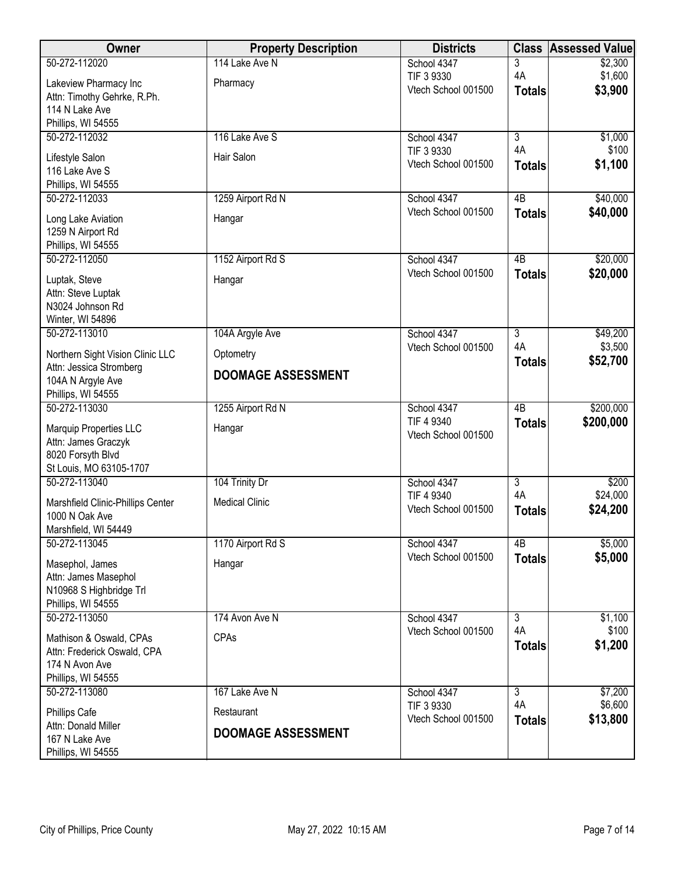| Owner                             | <b>Property Description</b> | <b>Districts</b>                  |                 | <b>Class Assessed Value</b> |
|-----------------------------------|-----------------------------|-----------------------------------|-----------------|-----------------------------|
| 50-272-112020                     | 114 Lake Ave N              | School 4347                       | 3               | \$2,300                     |
| Lakeview Pharmacy Inc             | Pharmacy                    | TIF 3 9330                        | 4A              | \$1,600                     |
| Attn: Timothy Gehrke, R.Ph.       |                             | Vtech School 001500               | <b>Totals</b>   | \$3,900                     |
| 114 N Lake Ave                    |                             |                                   |                 |                             |
| Phillips, WI 54555                |                             |                                   |                 |                             |
| 50-272-112032                     | 116 Lake Ave S              | School 4347                       | $\overline{3}$  | \$1,000                     |
| Lifestyle Salon                   | Hair Salon                  | TIF 3 9330                        | 4A              | \$100                       |
| 116 Lake Ave S                    |                             | Vtech School 001500               | <b>Totals</b>   | \$1,100                     |
| Phillips, WI 54555                |                             |                                   |                 |                             |
| 50-272-112033                     | 1259 Airport Rd N           | School 4347                       | 4B              | \$40,000                    |
| Long Lake Aviation                | Hangar                      | Vtech School 001500               | <b>Totals</b>   | \$40,000                    |
| 1259 N Airport Rd                 |                             |                                   |                 |                             |
| Phillips, WI 54555                |                             |                                   |                 |                             |
| 50-272-112050                     | 1152 Airport Rd S           | School 4347                       | $\overline{AB}$ | \$20,000                    |
| Luptak, Steve                     | Hangar                      | Vtech School 001500               | <b>Totals</b>   | \$20,000                    |
| Attn: Steve Luptak                |                             |                                   |                 |                             |
| N3024 Johnson Rd                  |                             |                                   |                 |                             |
| Winter, WI 54896                  |                             |                                   |                 |                             |
| 50-272-113010                     | 104A Argyle Ave             | School 4347                       | $\overline{3}$  | \$49,200                    |
| Northern Sight Vision Clinic LLC  | Optometry                   | Vtech School 001500               | 4A              | \$3,500                     |
| Attn: Jessica Stromberg           |                             |                                   | <b>Totals</b>   | \$52,700                    |
| 104A N Argyle Ave                 | <b>DOOMAGE ASSESSMENT</b>   |                                   |                 |                             |
| Phillips, WI 54555                |                             |                                   |                 |                             |
| 50-272-113030                     | 1255 Airport Rd N           | School 4347                       | $\overline{AB}$ | \$200,000                   |
| Marquip Properties LLC            | Hangar                      | TIF 4 9340                        | <b>Totals</b>   | \$200,000                   |
| Attn: James Graczyk               |                             | Vtech School 001500               |                 |                             |
| 8020 Forsyth Blvd                 |                             |                                   |                 |                             |
| St Louis, MO 63105-1707           |                             |                                   |                 |                             |
| 50-272-113040                     | 104 Trinity Dr              | School 4347                       | $\overline{3}$  | \$200                       |
| Marshfield Clinic-Phillips Center | <b>Medical Clinic</b>       | TIF 4 9340                        | 4A              | \$24,000                    |
| 1000 N Oak Ave                    |                             | Vtech School 001500               | <b>Totals</b>   | \$24,200                    |
| Marshfield, WI 54449              |                             |                                   |                 |                             |
| 50-272-113045                     | 1170 Airport Rd S           | School 4347                       | 4B              | \$5,000                     |
| Masephol, James                   | Hangar                      | Vtech School 001500               | <b>Totals</b>   | \$5,000                     |
| Attn: James Masephol              |                             |                                   |                 |                             |
| N10968 S Highbridge Trl           |                             |                                   |                 |                             |
| Phillips, WI 54555                |                             |                                   |                 |                             |
| 50-272-113050                     | 174 Avon Ave N              | School 4347                       | $\overline{3}$  | \$1,100                     |
| Mathison & Oswald, CPAs           | CPAs                        | Vtech School 001500               | 4A              | \$100                       |
| Attn: Frederick Oswald, CPA       |                             |                                   | <b>Totals</b>   | \$1,200                     |
| 174 N Avon Ave                    |                             |                                   |                 |                             |
| Phillips, WI 54555                |                             |                                   |                 |                             |
| 50-272-113080                     | 167 Lake Ave N              | School 4347                       | $\overline{3}$  | \$7,200                     |
| Phillips Cafe                     | Restaurant                  | TIF 3 9330<br>Vtech School 001500 | 4A              | \$6,600<br>\$13,800         |
| Attn: Donald Miller               | <b>DOOMAGE ASSESSMENT</b>   |                                   | <b>Totals</b>   |                             |
| 167 N Lake Ave                    |                             |                                   |                 |                             |
| Phillips, WI 54555                |                             |                                   |                 |                             |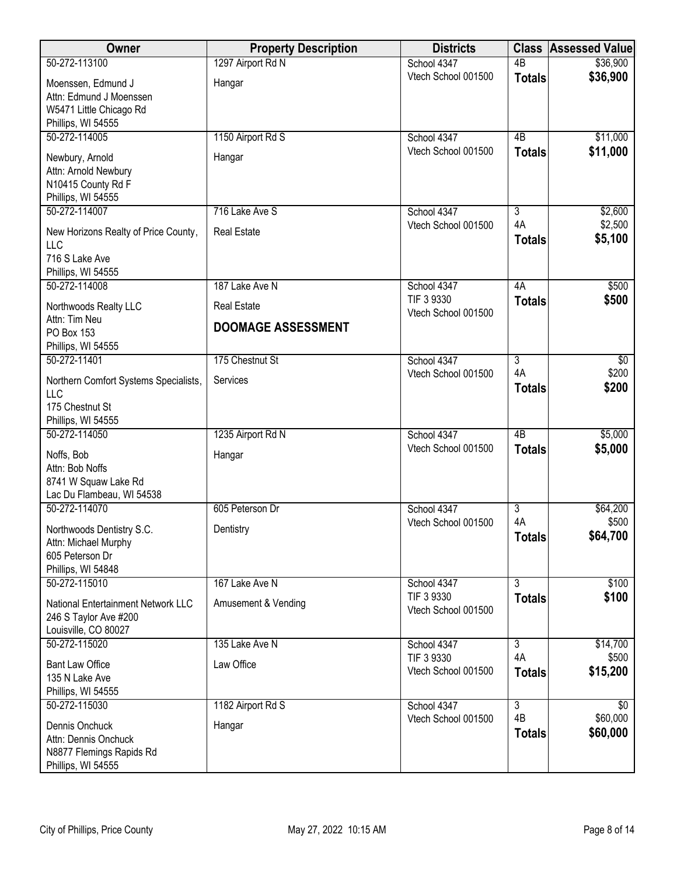| Owner                                                                                          | <b>Property Description</b> | <b>Districts</b>                  |                           | <b>Class Assessed Value</b> |
|------------------------------------------------------------------------------------------------|-----------------------------|-----------------------------------|---------------------------|-----------------------------|
| 50-272-113100                                                                                  | 1297 Airport Rd N           | School 4347                       | $\overline{AB}$           | \$36,900                    |
| Moenssen, Edmund J<br>Attn: Edmund J Moenssen<br>W5471 Little Chicago Rd<br>Phillips, WI 54555 | Hangar                      | Vtech School 001500               | <b>Totals</b>             | \$36,900                    |
| 50-272-114005                                                                                  | 1150 Airport Rd S           | School 4347                       | 4B                        | \$11,000                    |
| Newbury, Arnold<br>Attn: Arnold Newbury<br>N10415 County Rd F<br>Phillips, WI 54555            | Hangar                      | Vtech School 001500               | <b>Totals</b>             | \$11,000                    |
| 50-272-114007                                                                                  | 716 Lake Ave S              | School 4347                       | $\overline{3}$            | \$2,600                     |
| New Horizons Realty of Price County,<br>LLC<br>716 S Lake Ave<br>Phillips, WI 54555            | <b>Real Estate</b>          | Vtech School 001500               | 4A<br><b>Totals</b>       | \$2,500<br>\$5,100          |
| 50-272-114008                                                                                  | 187 Lake Ave N              | School 4347                       | 4A                        | \$500                       |
| Northwoods Realty LLC                                                                          | <b>Real Estate</b>          | TIF 3 9330                        | <b>Totals</b>             | \$500                       |
| Attn: Tim Neu<br>PO Box 153<br>Phillips, WI 54555                                              | <b>DOOMAGE ASSESSMENT</b>   | Vtech School 001500               |                           |                             |
| 50-272-11401                                                                                   | 175 Chestnut St             | School 4347                       | $\overline{3}$            | $\overline{60}$             |
| Northern Comfort Systems Specialists,<br>LLC<br>175 Chestnut St<br>Phillips, WI 54555          | Services                    | Vtech School 001500               | 4A<br><b>Totals</b>       | \$200<br>\$200              |
| 50-272-114050                                                                                  | 1235 Airport Rd N           | School 4347                       | $\overline{AB}$           | \$5,000                     |
| Noffs, Bob<br>Attn: Bob Noffs<br>8741 W Squaw Lake Rd<br>Lac Du Flambeau, WI 54538             | Hangar                      | Vtech School 001500               | <b>Totals</b>             | \$5,000                     |
| 50-272-114070                                                                                  | 605 Peterson Dr             | School 4347                       | $\overline{3}$            | \$64,200                    |
| Northwoods Dentistry S.C.<br>Attn: Michael Murphy<br>605 Peterson Dr<br>Phillips, WI 54848     | Dentistry                   | Vtech School 001500               | 4A<br><b>Totals</b>       | \$500<br>\$64,700           |
| 50-272-115010                                                                                  | 167 Lake Ave N              | School 4347                       | $\overline{\overline{3}}$ | \$100                       |
| National Entertainment Network LLC<br>246 S Taylor Ave #200<br>Louisville, CO 80027            | Amusement & Vending         | TIF 3 9330<br>Vtech School 001500 | <b>Totals</b>             | \$100                       |
| 50-272-115020                                                                                  | 135 Lake Ave N              | School 4347                       | $\overline{3}$            | \$14,700                    |
| <b>Bant Law Office</b><br>135 N Lake Ave<br>Phillips, WI 54555                                 | Law Office                  | TIF 3 9330<br>Vtech School 001500 | 4A<br><b>Totals</b>       | \$500<br>\$15,200           |
| 50-272-115030                                                                                  | 1182 Airport Rd S           | School 4347                       | $\overline{3}$<br>4B      | $\overline{30}$<br>\$60,000 |
| Dennis Onchuck<br>Attn: Dennis Onchuck<br>N8877 Flemings Rapids Rd<br>Phillips, WI 54555       | Hangar                      | Vtech School 001500               | <b>Totals</b>             | \$60,000                    |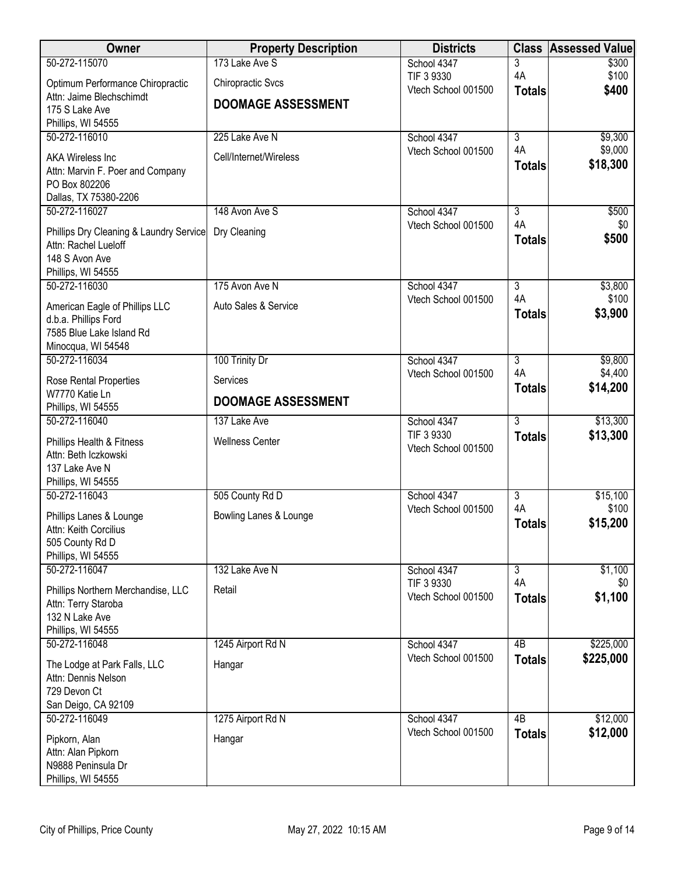| Owner                                                           | <b>Property Description</b> | <b>Districts</b>                   | <b>Class</b>              | <b>Assessed Value</b> |
|-----------------------------------------------------------------|-----------------------------|------------------------------------|---------------------------|-----------------------|
| 50-272-115070                                                   | 173 Lake Ave S              | School 4347                        | 3                         | \$300                 |
| Optimum Performance Chiropractic                                | <b>Chiropractic Svcs</b>    | TIF 3 9330<br>Vtech School 001500  | 4A                        | \$100                 |
| Attn: Jaime Blechschimdt                                        | <b>DOOMAGE ASSESSMENT</b>   |                                    | <b>Totals</b>             | \$400                 |
| 175 S Lake Ave                                                  |                             |                                    |                           |                       |
| Phillips, WI 54555<br>50-272-116010                             | 225 Lake Ave N              | School 4347                        | $\overline{3}$            | \$9,300               |
|                                                                 |                             | Vtech School 001500                | 4A                        | \$9,000               |
| AKA Wireless Inc                                                | Cell/Internet/Wireless      |                                    | <b>Totals</b>             | \$18,300              |
| Attn: Marvin F. Poer and Company<br>PO Box 802206               |                             |                                    |                           |                       |
| Dallas, TX 75380-2206                                           |                             |                                    |                           |                       |
| 50-272-116027                                                   | 148 Avon Ave S              | School 4347                        | 3                         | \$500                 |
|                                                                 | Dry Cleaning                | Vtech School 001500                | 4A                        | \$0                   |
| Phillips Dry Cleaning & Laundry Service<br>Attn: Rachel Lueloff |                             |                                    | <b>Totals</b>             | \$500                 |
| 148 S Avon Ave                                                  |                             |                                    |                           |                       |
| Phillips, WI 54555                                              |                             |                                    |                           |                       |
| 50-272-116030                                                   | 175 Avon Ave N              | School 4347                        | $\overline{3}$            | \$3,800               |
| American Eagle of Phillips LLC                                  | Auto Sales & Service        | Vtech School 001500                | 4A                        | \$100                 |
| d.b.a. Phillips Ford                                            |                             |                                    | <b>Totals</b>             | \$3,900               |
| 7585 Blue Lake Island Rd                                        |                             |                                    |                           |                       |
| Minocqua, WI 54548                                              |                             |                                    |                           |                       |
| 50-272-116034                                                   | 100 Trinity Dr              | School 4347<br>Vtech School 001500 | $\overline{3}$<br>4A      | \$9,800<br>\$4,400    |
| Rose Rental Properties                                          | Services                    |                                    | <b>Totals</b>             | \$14,200              |
| W7770 Katie Ln                                                  | <b>DOOMAGE ASSESSMENT</b>   |                                    |                           |                       |
| Phillips, WI 54555<br>50-272-116040                             | 137 Lake Ave                | School 4347                        | $\overline{3}$            | \$13,300              |
|                                                                 |                             | TIF 3 9330                         | <b>Totals</b>             | \$13,300              |
| Phillips Health & Fitness                                       | <b>Wellness Center</b>      | Vtech School 001500                |                           |                       |
| Attn: Beth Iczkowski<br>137 Lake Ave N                          |                             |                                    |                           |                       |
| Phillips, WI 54555                                              |                             |                                    |                           |                       |
| 50-272-116043                                                   | 505 County Rd D             | School 4347                        | $\overline{3}$            | \$15,100              |
| Phillips Lanes & Lounge                                         | Bowling Lanes & Lounge      | Vtech School 001500                | 4A                        | \$100                 |
| Attn: Keith Corcilius                                           |                             |                                    | <b>Totals</b>             | \$15,200              |
| 505 County Rd D                                                 |                             |                                    |                           |                       |
| Phillips, WI 54555                                              |                             |                                    |                           |                       |
| 50-272-116047                                                   | 132 Lake Ave N              | School 4347                        | $\overline{\overline{3}}$ | \$1,100               |
| Phillips Northern Merchandise, LLC                              | Retail                      | TIF 3 9330                         | 4A                        | \$0                   |
| Attn: Terry Staroba                                             |                             | Vtech School 001500                | <b>Totals</b>             | \$1,100               |
| 132 N Lake Ave                                                  |                             |                                    |                           |                       |
| Phillips, WI 54555<br>50-272-116048                             |                             |                                    | 4B                        | \$225,000             |
|                                                                 | 1245 Airport Rd N           | School 4347<br>Vtech School 001500 | <b>Totals</b>             | \$225,000             |
| The Lodge at Park Falls, LLC                                    | Hangar                      |                                    |                           |                       |
| Attn: Dennis Nelson<br>729 Devon Ct                             |                             |                                    |                           |                       |
| San Deigo, CA 92109                                             |                             |                                    |                           |                       |
| 50-272-116049                                                   | 1275 Airport Rd N           | School 4347                        | 4B                        | \$12,000              |
|                                                                 |                             | Vtech School 001500                | <b>Totals</b>             | \$12,000              |
| Pipkorn, Alan<br>Attn: Alan Pipkorn                             | Hangar                      |                                    |                           |                       |
| N9888 Peninsula Dr                                              |                             |                                    |                           |                       |
| Phillips, WI 54555                                              |                             |                                    |                           |                       |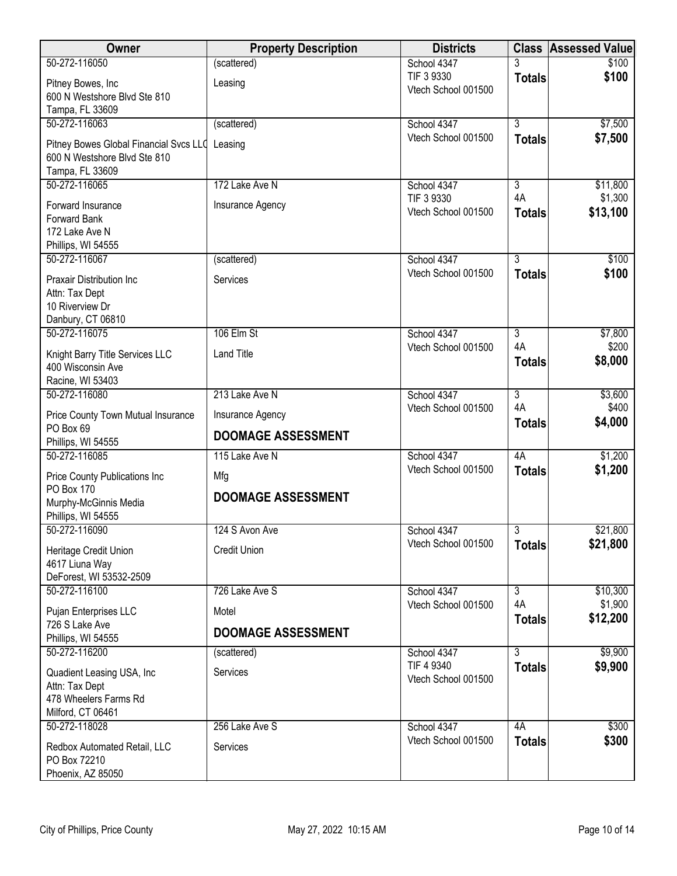| Owner                                           | <b>Property Description</b> | <b>Districts</b>                   |                | <b>Class Assessed Value</b> |
|-------------------------------------------------|-----------------------------|------------------------------------|----------------|-----------------------------|
| 50-272-116050                                   | (scattered)                 | School 4347                        | 3              | \$100                       |
| Pitney Bowes, Inc                               | Leasing                     | TIF 3 9330<br>Vtech School 001500  | <b>Totals</b>  | \$100                       |
| 600 N Westshore Blvd Ste 810                    |                             |                                    |                |                             |
| Tampa, FL 33609<br>50-272-116063                |                             |                                    | $\overline{3}$ |                             |
|                                                 | (scattered)                 | School 4347<br>Vtech School 001500 | <b>Totals</b>  | \$7,500<br>\$7,500          |
| Pitney Bowes Global Financial Svcs LLO          | Leasing                     |                                    |                |                             |
| 600 N Westshore Blvd Ste 810<br>Tampa, FL 33609 |                             |                                    |                |                             |
| 50-272-116065                                   | 172 Lake Ave N              | School 4347                        | $\overline{3}$ | \$11,800                    |
|                                                 |                             | TIF 3 9330                         | 4A             | \$1,300                     |
| Forward Insurance<br>Forward Bank               | Insurance Agency            | Vtech School 001500                | <b>Totals</b>  | \$13,100                    |
| 172 Lake Ave N                                  |                             |                                    |                |                             |
| Phillips, WI 54555                              |                             |                                    |                |                             |
| 50-272-116067                                   | (scattered)                 | School 4347                        | $\overline{3}$ | \$100                       |
| Praxair Distribution Inc                        | Services                    | Vtech School 001500                | <b>Totals</b>  | \$100                       |
| Attn: Tax Dept                                  |                             |                                    |                |                             |
| 10 Riverview Dr                                 |                             |                                    |                |                             |
| Danbury, CT 06810<br>50-272-116075              | 106 Elm St                  | School 4347                        | $\overline{3}$ | \$7,800                     |
|                                                 |                             | Vtech School 001500                | 4A             | \$200                       |
| Knight Barry Title Services LLC                 | <b>Land Title</b>           |                                    | <b>Totals</b>  | \$8,000                     |
| 400 Wisconsin Ave<br>Racine, WI 53403           |                             |                                    |                |                             |
| 50-272-116080                                   | 213 Lake Ave N              | School 4347                        | $\overline{3}$ | \$3,600                     |
| Price County Town Mutual Insurance              | Insurance Agency            | Vtech School 001500                | 4A             | \$400                       |
| PO Box 69                                       |                             |                                    | <b>Totals</b>  | \$4,000                     |
| Phillips, WI 54555                              | <b>DOOMAGE ASSESSMENT</b>   |                                    |                |                             |
| 50-272-116085                                   | 115 Lake Ave N              | School 4347                        | 4A             | \$1,200                     |
| Price County Publications Inc                   | Mfg                         | Vtech School 001500                | <b>Totals</b>  | \$1,200                     |
| PO Box 170                                      | <b>DOOMAGE ASSESSMENT</b>   |                                    |                |                             |
| Murphy-McGinnis Media                           |                             |                                    |                |                             |
| Phillips, WI 54555<br>50-272-116090             | 124 S Avon Ave              | School 4347                        | $\overline{3}$ | \$21,800                    |
|                                                 |                             | Vtech School 001500                | <b>Totals</b>  | \$21,800                    |
| Heritage Credit Union<br>4617 Liuna Way         | <b>Credit Union</b>         |                                    |                |                             |
| DeForest, WI 53532-2509                         |                             |                                    |                |                             |
| 50-272-116100                                   | 726 Lake Ave S              | School 4347                        | 3              | \$10,300                    |
| Pujan Enterprises LLC                           | Motel                       | Vtech School 001500                | 4A             | \$1,900                     |
| 726 S Lake Ave                                  |                             |                                    | <b>Totals</b>  | \$12,200                    |
| Phillips, WI 54555                              | <b>DOOMAGE ASSESSMENT</b>   |                                    |                |                             |
| 50-272-116200                                   | (scattered)                 | School 4347                        | $\overline{3}$ | \$9,900                     |
| Quadient Leasing USA, Inc.                      | Services                    | TIF 4 9340<br>Vtech School 001500  | <b>Totals</b>  | \$9,900                     |
| Attn: Tax Dept                                  |                             |                                    |                |                             |
| 478 Wheelers Farms Rd<br>Milford, CT 06461      |                             |                                    |                |                             |
| 50-272-118028                                   | 256 Lake Ave S              | School 4347                        | 4A             | \$300                       |
|                                                 |                             | Vtech School 001500                | <b>Totals</b>  | \$300                       |
| Redbox Automated Retail, LLC<br>PO Box 72210    | Services                    |                                    |                |                             |
| Phoenix, AZ 85050                               |                             |                                    |                |                             |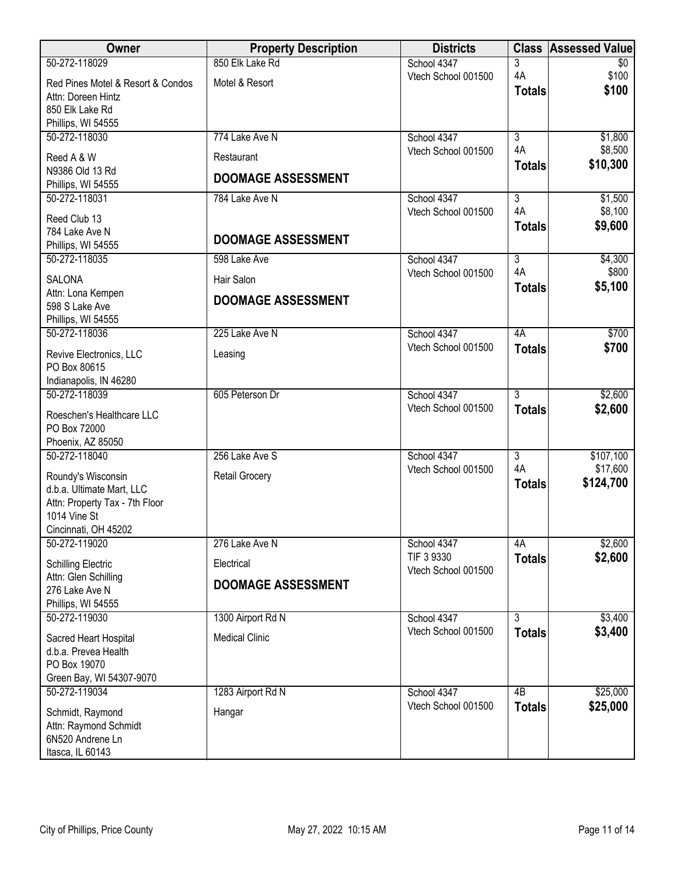| Owner                                          | <b>Property Description</b> | <b>Districts</b>    |                 | <b>Class Assessed Value</b> |
|------------------------------------------------|-----------------------------|---------------------|-----------------|-----------------------------|
| 50-272-118029                                  | 850 Elk Lake Rd             | School 4347         | 3               | \$0                         |
| Red Pines Motel & Resort & Condos              | Motel & Resort              | Vtech School 001500 | 4A              | \$100                       |
| Attn: Doreen Hintz                             |                             |                     | <b>Totals</b>   | \$100                       |
| 850 Elk Lake Rd                                |                             |                     |                 |                             |
| Phillips, WI 54555                             |                             |                     |                 |                             |
| 50-272-118030                                  | 774 Lake Ave N              | School 4347         | $\overline{3}$  | \$1,800                     |
| Reed A & W                                     | Restaurant                  | Vtech School 001500 | 4A              | \$8,500                     |
| N9386 Old 13 Rd                                |                             |                     | <b>Totals</b>   | \$10,300                    |
| Phillips, WI 54555                             | <b>DOOMAGE ASSESSMENT</b>   |                     |                 |                             |
| 50-272-118031                                  | 784 Lake Ave N              | School 4347         | $\overline{3}$  | \$1,500                     |
| Reed Club 13                                   |                             | Vtech School 001500 | 4A              | \$8,100                     |
| 784 Lake Ave N                                 |                             |                     | <b>Totals</b>   | \$9,600                     |
| Phillips, WI 54555                             | <b>DOOMAGE ASSESSMENT</b>   |                     |                 |                             |
| 50-272-118035                                  | 598 Lake Ave                | School 4347         | $\overline{3}$  | \$4,300                     |
| <b>SALONA</b>                                  | Hair Salon                  | Vtech School 001500 | 4A              | \$800                       |
| Attn: Lona Kempen                              |                             |                     | <b>Totals</b>   | \$5,100                     |
| 598 S Lake Ave                                 | <b>DOOMAGE ASSESSMENT</b>   |                     |                 |                             |
| Phillips, WI 54555                             |                             |                     |                 |                             |
| 50-272-118036                                  | 225 Lake Ave N              | School 4347         | 4A              | \$700                       |
| Revive Electronics, LLC                        | Leasing                     | Vtech School 001500 | <b>Totals</b>   | \$700                       |
| PO Box 80615                                   |                             |                     |                 |                             |
| Indianapolis, IN 46280                         |                             |                     |                 |                             |
| 50-272-118039                                  | 605 Peterson Dr             | School 4347         | $\overline{3}$  | \$2,600                     |
| Roeschen's Healthcare LLC                      |                             | Vtech School 001500 | <b>Totals</b>   | \$2,600                     |
| PO Box 72000                                   |                             |                     |                 |                             |
| Phoenix, AZ 85050                              |                             |                     |                 |                             |
| 50-272-118040                                  | 256 Lake Ave S              | School 4347         | $\overline{3}$  | \$107,100                   |
|                                                |                             | Vtech School 001500 | 4A              | \$17,600                    |
| Roundy's Wisconsin                             | <b>Retail Grocery</b>       |                     | <b>Totals</b>   | \$124,700                   |
| d.b.a. Ultimate Mart, LLC                      |                             |                     |                 |                             |
| Attn: Property Tax - 7th Floor<br>1014 Vine St |                             |                     |                 |                             |
| Cincinnati, OH 45202                           |                             |                     |                 |                             |
| 50-272-119020                                  | 276 Lake Ave N              | School 4347         | 4A              | \$2,600                     |
|                                                |                             | TIF 3 9330          | <b>Totals</b>   | \$2,600                     |
| <b>Schilling Electric</b>                      | Electrical                  | Vtech School 001500 |                 |                             |
| Attn: Glen Schilling<br>276 Lake Ave N         | <b>DOOMAGE ASSESSMENT</b>   |                     |                 |                             |
| Phillips, WI 54555                             |                             |                     |                 |                             |
| 50-272-119030                                  | 1300 Airport Rd N           | School 4347         | $\overline{3}$  | \$3,400                     |
|                                                |                             | Vtech School 001500 | <b>Totals</b>   | \$3,400                     |
| Sacred Heart Hospital                          | <b>Medical Clinic</b>       |                     |                 |                             |
| d.b.a. Prevea Health<br>PO Box 19070           |                             |                     |                 |                             |
| Green Bay, WI 54307-9070                       |                             |                     |                 |                             |
| 50-272-119034                                  | 1283 Airport Rd N           | School 4347         | $\overline{AB}$ | \$25,000                    |
|                                                |                             | Vtech School 001500 | <b>Totals</b>   | \$25,000                    |
| Schmidt, Raymond                               | Hangar                      |                     |                 |                             |
| Attn: Raymond Schmidt                          |                             |                     |                 |                             |
| 6N520 Andrene Ln                               |                             |                     |                 |                             |
| Itasca, IL 60143                               |                             |                     |                 |                             |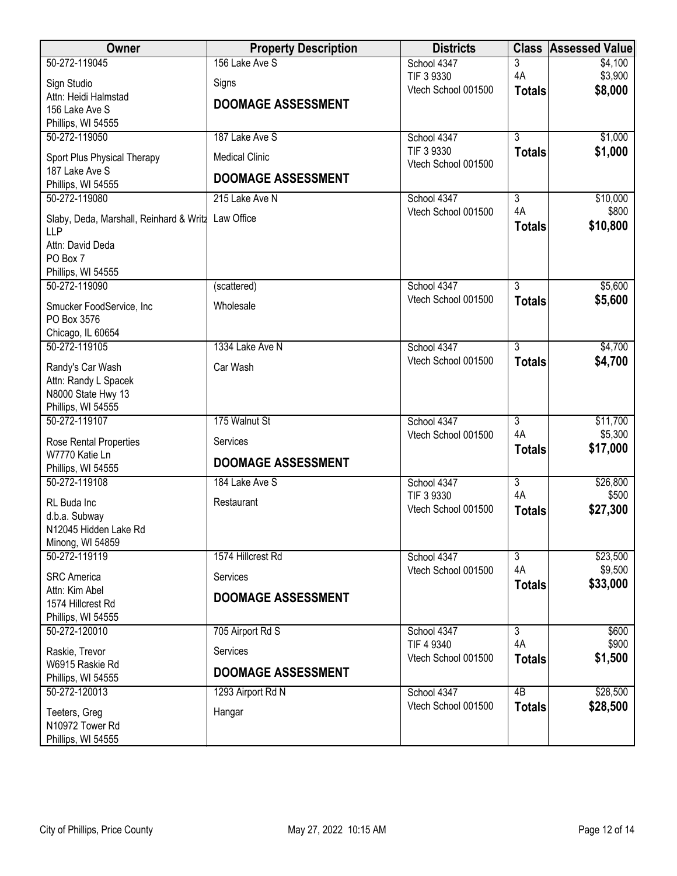| <b>Owner</b>                                                     | <b>Property Description</b> | <b>Districts</b>                   |                     | <b>Class Assessed Value</b> |
|------------------------------------------------------------------|-----------------------------|------------------------------------|---------------------|-----------------------------|
| 50-272-119045                                                    | 156 Lake Ave S              | School 4347                        | 3                   | \$4,100                     |
| Sign Studio                                                      | Signs                       | TIF 3 9330                         | 4A                  | \$3,900                     |
| Attn: Heidi Halmstad                                             |                             | Vtech School 001500                | <b>Totals</b>       | \$8,000                     |
| 156 Lake Ave S                                                   | <b>DOOMAGE ASSESSMENT</b>   |                                    |                     |                             |
| Phillips, WI 54555                                               |                             |                                    |                     |                             |
| 50-272-119050                                                    | 187 Lake Ave S              | School 4347                        | $\overline{3}$      | \$1,000                     |
| Sport Plus Physical Therapy                                      | <b>Medical Clinic</b>       | TIF 3 9330<br>Vtech School 001500  | <b>Totals</b>       | \$1,000                     |
| 187 Lake Ave S                                                   | <b>DOOMAGE ASSESSMENT</b>   |                                    |                     |                             |
| Phillips, WI 54555                                               |                             |                                    |                     |                             |
| 50-272-119080                                                    | 215 Lake Ave N              | School 4347                        | 3                   | \$10,000                    |
| Slaby, Deda, Marshall, Reinhard & Writz Law Office<br><b>LLP</b> |                             | Vtech School 001500                | 4A<br><b>Totals</b> | \$800<br>\$10,800           |
| Attn: David Deda                                                 |                             |                                    |                     |                             |
| PO Box 7                                                         |                             |                                    |                     |                             |
| Phillips, WI 54555                                               |                             |                                    |                     |                             |
| 50-272-119090                                                    | (scattered)                 | School 4347<br>Vtech School 001500 | $\overline{3}$      | \$5,600<br>\$5,600          |
| Smucker FoodService, Inc                                         | Wholesale                   |                                    | <b>Totals</b>       |                             |
| PO Box 3576                                                      |                             |                                    |                     |                             |
| Chicago, IL 60654<br>50-272-119105                               |                             |                                    | $\overline{3}$      | \$4,700                     |
|                                                                  | 1334 Lake Ave N             | School 4347<br>Vtech School 001500 |                     | \$4,700                     |
| Randy's Car Wash                                                 | Car Wash                    |                                    | <b>Totals</b>       |                             |
| Attn: Randy L Spacek                                             |                             |                                    |                     |                             |
| N8000 State Hwy 13                                               |                             |                                    |                     |                             |
| Phillips, WI 54555<br>50-272-119107                              | 175 Walnut St               | School 4347                        | $\overline{3}$      | \$11,700                    |
|                                                                  |                             | Vtech School 001500                | 4A                  | \$5,300                     |
| Rose Rental Properties                                           | Services                    |                                    | <b>Totals</b>       | \$17,000                    |
| W7770 Katie Ln                                                   | <b>DOOMAGE ASSESSMENT</b>   |                                    |                     |                             |
| Phillips, WI 54555<br>50-272-119108                              | 184 Lake Ave S              |                                    | $\overline{3}$      | \$26,800                    |
|                                                                  |                             | School 4347<br>TIF 3 9330          | 4A                  | \$500                       |
| RL Buda Inc                                                      | Restaurant                  | Vtech School 001500                | <b>Totals</b>       | \$27,300                    |
| d.b.a. Subway                                                    |                             |                                    |                     |                             |
| N12045 Hidden Lake Rd                                            |                             |                                    |                     |                             |
| Minong, WI 54859<br>50-272-119119                                | 1574 Hillcrest Rd           | School 4347                        | $\overline{3}$      | \$23,500                    |
|                                                                  |                             | Vtech School 001500                | 4A                  | \$9,500                     |
| <b>SRC</b> America                                               | Services                    |                                    | <b>Totals</b>       | \$33,000                    |
| Attn: Kim Abel<br>1574 Hillcrest Rd                              | <b>DOOMAGE ASSESSMENT</b>   |                                    |                     |                             |
| Phillips, WI 54555                                               |                             |                                    |                     |                             |
| 50-272-120010                                                    | 705 Airport Rd S            | School 4347                        | $\overline{3}$      | \$600                       |
|                                                                  |                             | TIF 4 9340                         | 4A                  | \$900                       |
| Raskie, Trevor<br>W6915 Raskie Rd                                | Services                    | Vtech School 001500                | <b>Totals</b>       | \$1,500                     |
| Phillips, WI 54555                                               | <b>DOOMAGE ASSESSMENT</b>   |                                    |                     |                             |
| 50-272-120013                                                    | 1293 Airport Rd N           | School 4347                        | $\overline{AB}$     | \$28,500                    |
|                                                                  |                             | Vtech School 001500                | <b>Totals</b>       | \$28,500                    |
| Teeters, Greg<br>N10972 Tower Rd                                 | Hangar                      |                                    |                     |                             |
| Phillips, WI 54555                                               |                             |                                    |                     |                             |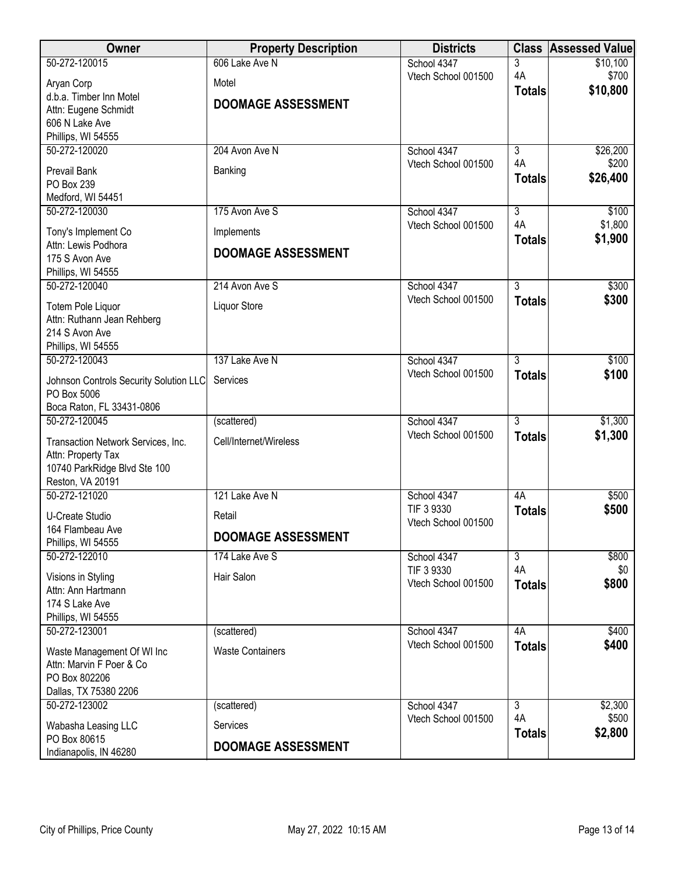| Owner                                           | <b>Property Description</b> | <b>Districts</b>                  | <b>Class</b>   | <b>Assessed Value</b> |
|-------------------------------------------------|-----------------------------|-----------------------------------|----------------|-----------------------|
| 50-272-120015                                   | 606 Lake Ave N              | School 4347                       | 3              | \$10,100              |
| Aryan Corp                                      | Motel                       | Vtech School 001500               | 4A             | \$700                 |
| d.b.a. Timber Inn Motel                         |                             |                                   | <b>Totals</b>  | \$10,800              |
| Attn: Eugene Schmidt                            | <b>DOOMAGE ASSESSMENT</b>   |                                   |                |                       |
| 606 N Lake Ave                                  |                             |                                   |                |                       |
| Phillips, WI 54555                              |                             |                                   |                |                       |
| 50-272-120020                                   | 204 Avon Ave N              | School 4347                       | $\overline{3}$ | \$26,200              |
| Prevail Bank                                    | Banking                     | Vtech School 001500               | 4A             | \$200                 |
| PO Box 239                                      |                             |                                   | <b>Totals</b>  | \$26,400              |
| Medford, WI 54451                               |                             |                                   |                |                       |
| 50-272-120030                                   | 175 Avon Ave S              | School 4347                       | $\overline{3}$ | \$100                 |
| Tony's Implement Co                             | Implements                  | Vtech School 001500               | 4A             | \$1,800               |
| Attn: Lewis Podhora                             |                             |                                   | <b>Totals</b>  | \$1,900               |
| 175 S Avon Ave                                  | <b>DOOMAGE ASSESSMENT</b>   |                                   |                |                       |
| Phillips, WI 54555                              |                             |                                   |                |                       |
| 50-272-120040                                   | 214 Avon Ave S              | School 4347                       | $\overline{3}$ | \$300                 |
|                                                 |                             | Vtech School 001500               | <b>Totals</b>  | \$300                 |
| Totem Pole Liquor<br>Attn: Ruthann Jean Rehberg | Liquor Store                |                                   |                |                       |
| 214 S Avon Ave                                  |                             |                                   |                |                       |
| Phillips, WI 54555                              |                             |                                   |                |                       |
| 50-272-120043                                   | 137 Lake Ave N              | School 4347                       | $\overline{3}$ | \$100                 |
|                                                 |                             | Vtech School 001500               | <b>Totals</b>  | \$100                 |
| Johnson Controls Security Solution LLC          | Services                    |                                   |                |                       |
| PO Box 5006                                     |                             |                                   |                |                       |
| Boca Raton, FL 33431-0806<br>50-272-120045      | (scattered)                 | School 4347                       | $\overline{3}$ | \$1,300               |
|                                                 |                             | Vtech School 001500               | <b>Totals</b>  | \$1,300               |
| Transaction Network Services, Inc.              | Cell/Internet/Wireless      |                                   |                |                       |
| Attn: Property Tax                              |                             |                                   |                |                       |
| 10740 ParkRidge Blvd Ste 100                    |                             |                                   |                |                       |
| Reston, VA 20191<br>50-272-121020               | 121 Lake Ave N              |                                   | 4A             |                       |
|                                                 |                             | School 4347<br>TIF 3 9330         |                | \$500<br>\$500        |
| <b>U-Create Studio</b>                          | Retail                      | Vtech School 001500               | <b>Totals</b>  |                       |
| 164 Flambeau Ave                                | <b>DOOMAGE ASSESSMENT</b>   |                                   |                |                       |
| Phillips, WI 54555                              |                             |                                   |                |                       |
| 50-272-122010                                   | 174 Lake Ave S              | School 4347                       | $\overline{3}$ | \$800                 |
| Visions in Styling                              | Hair Salon                  | TIF 3 9330<br>Vtech School 001500 | 4A             | \$0                   |
| Attn: Ann Hartmann                              |                             |                                   | <b>Totals</b>  | \$800                 |
| 174 S Lake Ave                                  |                             |                                   |                |                       |
| Phillips, WI 54555                              |                             |                                   |                |                       |
| 50-272-123001                                   | (scattered)                 | School 4347                       | 4A             | \$400                 |
| Waste Management Of WI Inc                      | <b>Waste Containers</b>     | Vtech School 001500               | <b>Totals</b>  | \$400                 |
| Attn: Marvin F Poer & Co                        |                             |                                   |                |                       |
| PO Box 802206                                   |                             |                                   |                |                       |
| Dallas, TX 75380 2206                           |                             |                                   |                |                       |
| 50-272-123002                                   | (scattered)                 | School 4347                       | $\overline{3}$ | \$2,300               |
| Wabasha Leasing LLC                             | Services                    | Vtech School 001500               | 4A             | \$500                 |
| PO Box 80615                                    |                             |                                   | <b>Totals</b>  | \$2,800               |
| Indianapolis, IN 46280                          | <b>DOOMAGE ASSESSMENT</b>   |                                   |                |                       |